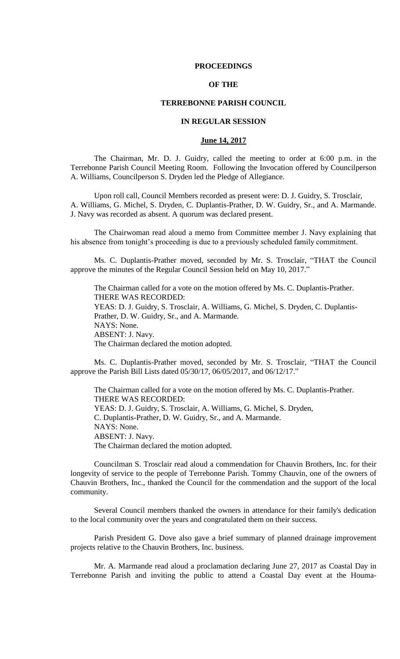#### **PROCEEDINGS**

# **OF THE**

## **TERREBONNE PARISH COUNCIL**

# **IN REGULAR SESSION**

# **June 14, 2017**

The Chairman, Mr. D. J. Guidry, called the meeting to order at 6:00 p.m. in the Terrebonne Parish Council Meeting Room. Following the Invocation offered by Councilperson A. Williams, Councilperson S. Dryden led the Pledge of Allegiance.

Upon roll call, Council Members recorded as present were: D. J. Guidry, S. Trosclair, A. Williams, G. Michel, S. Dryden, C. Duplantis-Prather, D. W. Guidry, Sr., and A. Marmande. J. Navy was recorded as absent. A quorum was declared present.

The Chairwoman read aloud a memo from Committee member J. Navy explaining that his absence from tonight's proceeding is due to a previously scheduled family commitment.

Ms. C. Duplantis-Prather moved, seconded by Mr. S. Trosclair, "THAT the Council approve the minutes of the Regular Council Session held on May 10, 2017."

The Chairman called for a vote on the motion offered by Ms. C. Duplantis-Prather. THERE WAS RECORDED: YEAS: D. J. Guidry, S. Trosclair, A. Williams, G. Michel, S. Dryden, C. Duplantis-Prather, D. W. Guidry, Sr., and A. Marmande. NAYS: None. ABSENT: J. Navy. The Chairman declared the motion adopted.

Ms. C. Duplantis-Prather moved, seconded by Mr. S. Trosclair, "THAT the Council approve the Parish Bill Lists dated 05/30/17, 06/05/2017, and 06/12/17."

The Chairman called for a vote on the motion offered by Ms. C. Duplantis-Prather. THERE WAS RECORDED: YEAS: D. J. Guidry, S. Trosclair, A. Williams, G. Michel, S. Dryden, C. Duplantis-Prather, D. W. Guidry, Sr., and A. Marmande. NAYS: None. ABSENT: J. Navy. The Chairman declared the motion adopted.

Councilman S. Trosclair read aloud a commendation for Chauvin Brothers, Inc. for their longevity of service to the people of Terrebonne Parish. Tommy Chauvin, one of the owners of Chauvin Brothers, Inc., thanked the Council for the commendation and the support of the local community.

Several Council members thanked the owners in attendance for their family's dedication to the local community over the years and congratulated them on their success.

Parish President G. Dove also gave a brief summary of planned drainage improvement projects relative to the Chauvin Brothers, Inc. business.

Mr. A. Marmande read aloud a proclamation declaring June 27, 2017 as Coastal Day in Terrebonne Parish and inviting the public to attend a Coastal Day event at the Houma-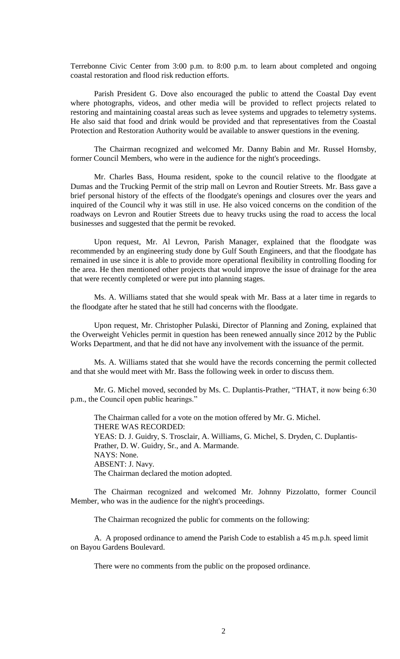Terrebonne Civic Center from 3:00 p.m. to 8:00 p.m. to learn about completed and ongoing coastal restoration and flood risk reduction efforts.

Parish President G. Dove also encouraged the public to attend the Coastal Day event where photographs, videos, and other media will be provided to reflect projects related to restoring and maintaining coastal areas such as levee systems and upgrades to telemetry systems. He also said that food and drink would be provided and that representatives from the Coastal Protection and Restoration Authority would be available to answer questions in the evening.

The Chairman recognized and welcomed Mr. Danny Babin and Mr. Russel Hornsby, former Council Members, who were in the audience for the night's proceedings.

Mr. Charles Bass, Houma resident, spoke to the council relative to the floodgate at Dumas and the Trucking Permit of the strip mall on Levron and Routier Streets. Mr. Bass gave a brief personal history of the effects of the floodgate's openings and closures over the years and inquired of the Council why it was still in use. He also voiced concerns on the condition of the roadways on Levron and Routier Streets due to heavy trucks using the road to access the local businesses and suggested that the permit be revoked.

Upon request, Mr. Al Levron, Parish Manager, explained that the floodgate was recommended by an engineering study done by Gulf South Engineers, and that the floodgate has remained in use since it is able to provide more operational flexibility in controlling flooding for the area. He then mentioned other projects that would improve the issue of drainage for the area that were recently completed or were put into planning stages.

Ms. A. Williams stated that she would speak with Mr. Bass at a later time in regards to the floodgate after he stated that he still had concerns with the floodgate.

Upon request, Mr. Christopher Pulaski, Director of Planning and Zoning, explained that the Overweight Vehicles permit in question has been renewed annually since 2012 by the Public Works Department, and that he did not have any involvement with the issuance of the permit.

Ms. A. Williams stated that she would have the records concerning the permit collected and that she would meet with Mr. Bass the following week in order to discuss them.

Mr. G. Michel moved, seconded by Ms. C. Duplantis-Prather, "THAT, it now being 6:30 p.m., the Council open public hearings."

The Chairman called for a vote on the motion offered by Mr. G. Michel. THERE WAS RECORDED: YEAS: D. J. Guidry, S. Trosclair, A. Williams, G. Michel, S. Dryden, C. Duplantis-Prather, D. W. Guidry, Sr., and A. Marmande. NAYS: None. ABSENT: J. Navy. The Chairman declared the motion adopted.

The Chairman recognized and welcomed Mr. Johnny Pizzolatto, former Council Member, who was in the audience for the night's proceedings.

The Chairman recognized the public for comments on the following:

A. A proposed ordinance to amend the Parish Code to establish a 45 m.p.h. speed limit on Bayou Gardens Boulevard.

There were no comments from the public on the proposed ordinance.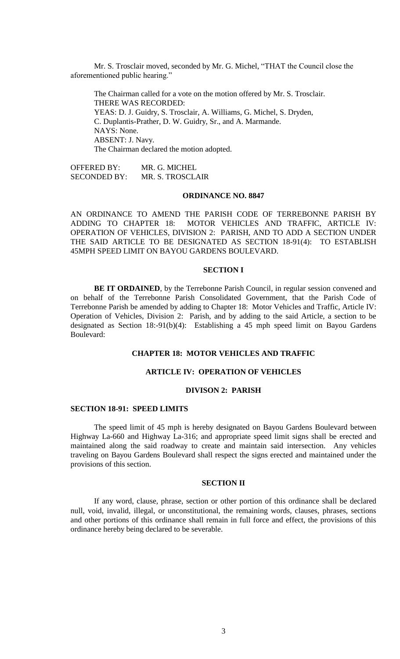Mr. S. Trosclair moved, seconded by Mr. G. Michel, "THAT the Council close the aforementioned public hearing."

The Chairman called for a vote on the motion offered by Mr. S. Trosclair. THERE WAS RECORDED: YEAS: D. J. Guidry, S. Trosclair, A. Williams, G. Michel, S. Dryden, C. Duplantis-Prather, D. W. Guidry, Sr., and A. Marmande. NAYS: None. ABSENT: J. Navy. The Chairman declared the motion adopted.

OFFERED BY: MR. G. MICHEL SECONDED BY: MR. S. TROSCLAIR

# **ORDINANCE NO. 8847**

AN ORDINANCE TO AMEND THE PARISH CODE OF TERREBONNE PARISH BY ADDING TO CHAPTER 18: MOTOR VEHICLES AND TRAFFIC, ARTICLE IV: OPERATION OF VEHICLES, DIVISION 2: PARISH, AND TO ADD A SECTION UNDER THE SAID ARTICLE TO BE DESIGNATED AS SECTION 18-91(4): TO ESTABLISH 45MPH SPEED LIMIT ON BAYOU GARDENS BOULEVARD.

#### **SECTION I**

**BE IT ORDAINED**, by the Terrebonne Parish Council, in regular session convened and on behalf of the Terrebonne Parish Consolidated Government, that the Parish Code of Terrebonne Parish be amended by adding to Chapter 18: Motor Vehicles and Traffic, Article IV: Operation of Vehicles, Division 2: Parish, and by adding to the said Article, a section to be designated as Section 18:-91(b)(4): Establishing a 45 mph speed limit on Bayou Gardens Boulevard:

# **CHAPTER 18: MOTOR VEHICLES AND TRAFFIC**

### **ARTICLE IV: OPERATION OF VEHICLES**

## **DIVISON 2: PARISH**

### **SECTION 18-91: SPEED LIMITS**

The speed limit of 45 mph is hereby designated on Bayou Gardens Boulevard between Highway La-660 and Highway La-316; and appropriate speed limit signs shall be erected and maintained along the said roadway to create and maintain said intersection. Any vehicles traveling on Bayou Gardens Boulevard shall respect the signs erected and maintained under the provisions of this section.

### **SECTION II**

If any word, clause, phrase, section or other portion of this ordinance shall be declared null, void, invalid, illegal, or unconstitutional, the remaining words, clauses, phrases, sections and other portions of this ordinance shall remain in full force and effect, the provisions of this ordinance hereby being declared to be severable.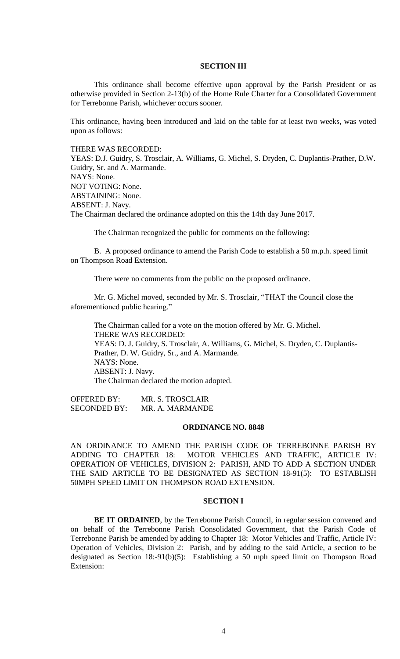#### **SECTION III**

This ordinance shall become effective upon approval by the Parish President or as otherwise provided in Section 2-13(b) of the Home Rule Charter for a Consolidated Government for Terrebonne Parish, whichever occurs sooner.

This ordinance, having been introduced and laid on the table for at least two weeks, was voted upon as follows:

THERE WAS RECORDED:

YEAS: D.J. Guidry, S. Trosclair, A. Williams, G. Michel, S. Dryden, C. Duplantis-Prather, D.W. Guidry, Sr. and A. Marmande. NAYS: None. NOT VOTING: None. ABSTAINING: None. ABSENT: J. Navy. The Chairman declared the ordinance adopted on this the 14th day June 2017.

The Chairman recognized the public for comments on the following:

B. A proposed ordinance to amend the Parish Code to establish a 50 m.p.h. speed limit on Thompson Road Extension.

There were no comments from the public on the proposed ordinance.

Mr. G. Michel moved, seconded by Mr. S. Trosclair, "THAT the Council close the aforementioned public hearing."

The Chairman called for a vote on the motion offered by Mr. G. Michel. THERE WAS RECORDED: YEAS: D. J. Guidry, S. Trosclair, A. Williams, G. Michel, S. Dryden, C. Duplantis-Prather, D. W. Guidry, Sr., and A. Marmande. NAYS: None. ABSENT: J. Navy. The Chairman declared the motion adopted.

OFFERED BY: MR. S. TROSCLAIR SECONDED BY: MR. A. MARMANDE

### **ORDINANCE NO. 8848**

AN ORDINANCE TO AMEND THE PARISH CODE OF TERREBONNE PARISH BY ADDING TO CHAPTER 18: MOTOR VEHICLES AND TRAFFIC, ARTICLE IV: OPERATION OF VEHICLES, DIVISION 2: PARISH, AND TO ADD A SECTION UNDER THE SAID ARTICLE TO BE DESIGNATED AS SECTION 18-91(5): TO ESTABLISH 50MPH SPEED LIMIT ON THOMPSON ROAD EXTENSION.

### **SECTION I**

**BE IT ORDAINED**, by the Terrebonne Parish Council, in regular session convened and on behalf of the Terrebonne Parish Consolidated Government, that the Parish Code of Terrebonne Parish be amended by adding to Chapter 18: Motor Vehicles and Traffic, Article IV: Operation of Vehicles, Division 2: Parish, and by adding to the said Article, a section to be designated as Section 18:-91(b)(5): Establishing a 50 mph speed limit on Thompson Road Extension: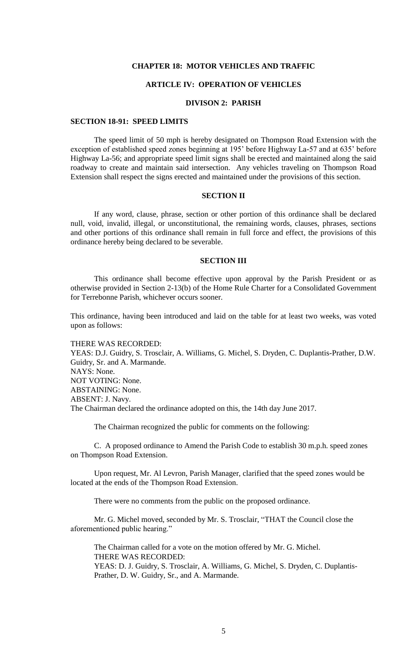### **CHAPTER 18: MOTOR VEHICLES AND TRAFFIC**

# **ARTICLE IV: OPERATION OF VEHICLES**

### **DIVISON 2: PARISH**

### **SECTION 18-91: SPEED LIMITS**

The speed limit of 50 mph is hereby designated on Thompson Road Extension with the exception of established speed zones beginning at 195' before Highway La-57 and at 635' before Highway La-56; and appropriate speed limit signs shall be erected and maintained along the said roadway to create and maintain said intersection. Any vehicles traveling on Thompson Road Extension shall respect the signs erected and maintained under the provisions of this section.

## **SECTION II**

If any word, clause, phrase, section or other portion of this ordinance shall be declared null, void, invalid, illegal, or unconstitutional, the remaining words, clauses, phrases, sections and other portions of this ordinance shall remain in full force and effect, the provisions of this ordinance hereby being declared to be severable.

#### **SECTION III**

This ordinance shall become effective upon approval by the Parish President or as otherwise provided in Section 2-13(b) of the Home Rule Charter for a Consolidated Government for Terrebonne Parish, whichever occurs sooner.

This ordinance, having been introduced and laid on the table for at least two weeks, was voted upon as follows:

THERE WAS RECORDED: YEAS: D.J. Guidry, S. Trosclair, A. Williams, G. Michel, S. Dryden, C. Duplantis-Prather, D.W. Guidry, Sr. and A. Marmande. NAYS: None. NOT VOTING: None. ABSTAINING: None. ABSENT: J. Navy. The Chairman declared the ordinance adopted on this, the 14th day June 2017.

The Chairman recognized the public for comments on the following:

C. A proposed ordinance to Amend the Parish Code to establish 30 m.p.h. speed zones on Thompson Road Extension.

Upon request, Mr. Al Levron, Parish Manager, clarified that the speed zones would be located at the ends of the Thompson Road Extension.

There were no comments from the public on the proposed ordinance.

Mr. G. Michel moved, seconded by Mr. S. Trosclair, "THAT the Council close the aforementioned public hearing."

The Chairman called for a vote on the motion offered by Mr. G. Michel. THERE WAS RECORDED: YEAS: D. J. Guidry, S. Trosclair, A. Williams, G. Michel, S. Dryden, C. Duplantis-Prather, D. W. Guidry, Sr., and A. Marmande.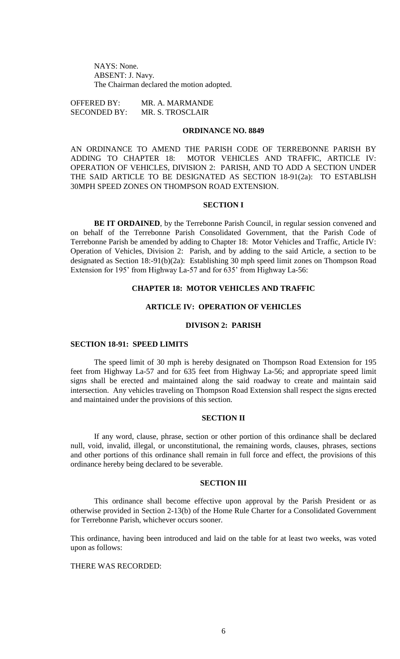NAYS: None. ABSENT: J. Navy. The Chairman declared the motion adopted.

OFFERED BY: MR. A. MARMANDE SECONDED BY: MR. S. TROSCLAIR

# **ORDINANCE NO. 8849**

AN ORDINANCE TO AMEND THE PARISH CODE OF TERREBONNE PARISH BY ADDING TO CHAPTER 18: MOTOR VEHICLES AND TRAFFIC, ARTICLE IV: OPERATION OF VEHICLES, DIVISION 2: PARISH, AND TO ADD A SECTION UNDER THE SAID ARTICLE TO BE DESIGNATED AS SECTION 18-91(2a): TO ESTABLISH 30MPH SPEED ZONES ON THOMPSON ROAD EXTENSION.

#### **SECTION I**

**BE IT ORDAINED**, by the Terrebonne Parish Council, in regular session convened and on behalf of the Terrebonne Parish Consolidated Government, that the Parish Code of Terrebonne Parish be amended by adding to Chapter 18: Motor Vehicles and Traffic, Article IV: Operation of Vehicles, Division 2: Parish, and by adding to the said Article, a section to be designated as Section 18:-91(b)(2a): Establishing 30 mph speed limit zones on Thompson Road Extension for 195' from Highway La-57 and for 635' from Highway La-56:

# **CHAPTER 18: MOTOR VEHICLES AND TRAFFIC**

# **ARTICLE IV: OPERATION OF VEHICLES**

#### **DIVISON 2: PARISH**

#### **SECTION 18-91: SPEED LIMITS**

The speed limit of 30 mph is hereby designated on Thompson Road Extension for 195 feet from Highway La-57 and for 635 feet from Highway La-56; and appropriate speed limit signs shall be erected and maintained along the said roadway to create and maintain said intersection. Any vehicles traveling on Thompson Road Extension shall respect the signs erected and maintained under the provisions of this section.

### **SECTION II**

If any word, clause, phrase, section or other portion of this ordinance shall be declared null, void, invalid, illegal, or unconstitutional, the remaining words, clauses, phrases, sections and other portions of this ordinance shall remain in full force and effect, the provisions of this ordinance hereby being declared to be severable.

### **SECTION III**

This ordinance shall become effective upon approval by the Parish President or as otherwise provided in Section 2-13(b) of the Home Rule Charter for a Consolidated Government for Terrebonne Parish, whichever occurs sooner.

This ordinance, having been introduced and laid on the table for at least two weeks, was voted upon as follows:

# THERE WAS RECORDED: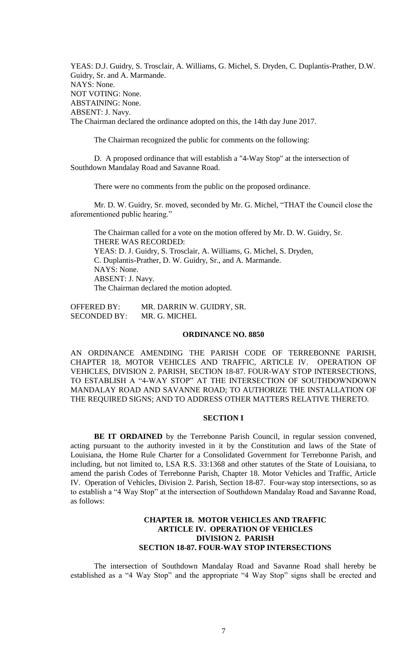YEAS: D.J. Guidry, S. Trosclair, A. Williams, G. Michel, S. Dryden, C. Duplantis-Prather, D.W. Guidry, Sr. and A. Marmande. NAYS: None. NOT VOTING: None. ABSTAINING: None. ABSENT: J. Navy. The Chairman declared the ordinance adopted on this, the 14th day June 2017.

The Chairman recognized the public for comments on the following:

D. A proposed ordinance that will establish a "4-Way Stop" at the intersection of Southdown Mandalay Road and Savanne Road.

There were no comments from the public on the proposed ordinance.

Mr. D. W. Guidry, Sr. moved, seconded by Mr. G. Michel, "THAT the Council close the aforementioned public hearing."

The Chairman called for a vote on the motion offered by Mr. D. W. Guidry, Sr. THERE WAS RECORDED: YEAS: D. J. Guidry, S. Trosclair, A. Williams, G. Michel, S. Dryden, C. Duplantis-Prather, D. W. Guidry, Sr., and A. Marmande. NAYS: None. ABSENT: J. Navy. The Chairman declared the motion adopted.

OFFERED BY: MR. DARRIN W. GUIDRY, SR. SECONDED BY: MR. G. MICHEL

### **ORDINANCE NO. 8850**

AN ORDINANCE AMENDING THE PARISH CODE OF TERREBONNE PARISH, CHAPTER 18, MOTOR VEHICLES AND TRAFFIC, ARTICLE IV. OPERATION OF VEHICLES, DIVISION 2. PARISH, SECTION 18-87. FOUR-WAY STOP INTERSECTIONS, TO ESTABLISH A "4-WAY STOP" AT THE INTERSECTION OF SOUTHDOWNDOWN MANDALAY ROAD AND SAVANNE ROAD; TO AUTHORIZE THE INSTALLATION OF THE REQUIRED SIGNS; AND TO ADDRESS OTHER MATTERS RELATIVE THERETO.

### **SECTION I**

BE IT ORDAINED by the Terrebonne Parish Council, in regular session convened, acting pursuant to the authority invested in it by the Constitution and laws of the State of Louisiana, the Home Rule Charter for a Consolidated Government for Terrebonne Parish, and including, but not limited to, LSA R.S. 33:1368 and other statutes of the State of Louisiana, to amend the parish Codes of Terrebonne Parish, Chapter 18. Motor Vehicles and Traffic, Article IV. Operation of Vehicles, Division 2. Parish, Section 18-87. Four-way stop intersections, so as to establish a "4 Way Stop" at the intersection of Southdown Mandalay Road and Savanne Road, as follows:

# **CHAPTER 18. MOTOR VEHICLES AND TRAFFIC ARTICLE IV. OPERATION OF VEHICLES DIVISION 2. PARISH SECTION 18-87. FOUR-WAY STOP INTERSECTIONS**

The intersection of Southdown Mandalay Road and Savanne Road shall hereby be established as a "4 Way Stop" and the appropriate "4 Way Stop" signs shall be erected and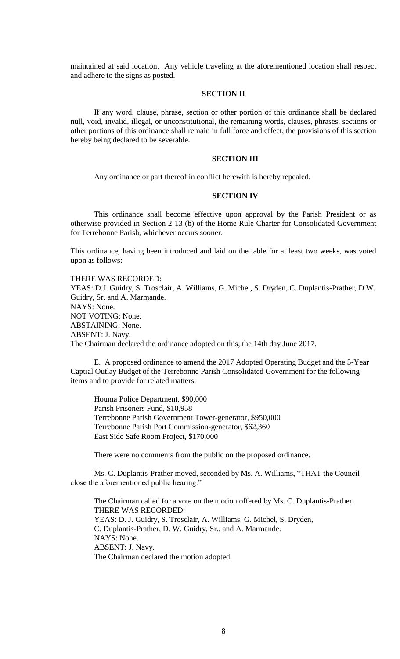maintained at said location. Any vehicle traveling at the aforementioned location shall respect and adhere to the signs as posted.

# **SECTION II**

If any word, clause, phrase, section or other portion of this ordinance shall be declared null, void, invalid, illegal, or unconstitutional, the remaining words, clauses, phrases, sections or other portions of this ordinance shall remain in full force and effect, the provisions of this section hereby being declared to be severable.

# **SECTION III**

Any ordinance or part thereof in conflict herewith is hereby repealed.

#### **SECTION IV**

This ordinance shall become effective upon approval by the Parish President or as otherwise provided in Section 2-13 (b) of the Home Rule Charter for Consolidated Government for Terrebonne Parish, whichever occurs sooner.

This ordinance, having been introduced and laid on the table for at least two weeks, was voted upon as follows:

THERE WAS RECORDED: YEAS: D.J. Guidry, S. Trosclair, A. Williams, G. Michel, S. Dryden, C. Duplantis-Prather, D.W. Guidry, Sr. and A. Marmande. NAYS: None. NOT VOTING: None. ABSTAINING: None. ABSENT: J. Navy. The Chairman declared the ordinance adopted on this, the 14th day June 2017.

E. A proposed ordinance to amend the 2017 Adopted Operating Budget and the 5-Year Captial Outlay Budget of the Terrebonne Parish Consolidated Government for the following items and to provide for related matters:

Houma Police Department, \$90,000 Parish Prisoners Fund, \$10,958 Terrebonne Parish Government Tower-generator, \$950,000 Terrebonne Parish Port Commission-generator, \$62,360 East Side Safe Room Project, \$170,000

There were no comments from the public on the proposed ordinance.

Ms. C. Duplantis-Prather moved, seconded by Ms. A. Williams, "THAT the Council close the aforementioned public hearing."

The Chairman called for a vote on the motion offered by Ms. C. Duplantis-Prather. THERE WAS RECORDED: YEAS: D. J. Guidry, S. Trosclair, A. Williams, G. Michel, S. Dryden, C. Duplantis-Prather, D. W. Guidry, Sr., and A. Marmande. NAYS: None. ABSENT: J. Navy. The Chairman declared the motion adopted.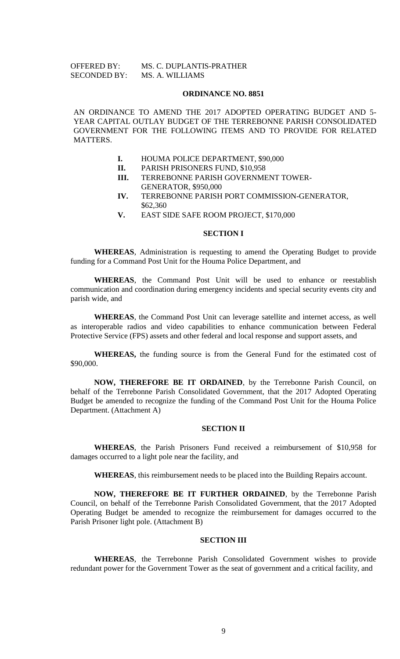| <b>OFFERED BY:</b>  | MS. C. DUPLANTIS-PRATHER |
|---------------------|--------------------------|
| <b>SECONDED BY:</b> | MS. A. WILLIAMS          |

#### **ORDINANCE NO. 8851**

AN ORDINANCE TO AMEND THE 2017 ADOPTED OPERATING BUDGET AND 5- YEAR CAPITAL OUTLAY BUDGET OF THE TERREBONNE PARISH CONSOLIDATED GOVERNMENT FOR THE FOLLOWING ITEMS AND TO PROVIDE FOR RELATED MATTERS.

- **I.** HOUMA POLICE DEPARTMENT, \$90,000
- **II.** PARISH PRISONERS FUND, \$10,958
- **III.** TERREBONNE PARISH GOVERNMENT TOWER-GENERATOR, \$950,000
- **IV.** TERREBONNE PARISH PORT COMMISSION-GENERATOR, \$62,360
- **V.** EAST SIDE SAFE ROOM PROJECT, \$170,000

### **SECTION I**

**WHEREAS**, Administration is requesting to amend the Operating Budget to provide funding for a Command Post Unit for the Houma Police Department, and

**WHEREAS**, the Command Post Unit will be used to enhance or reestablish communication and coordination during emergency incidents and special security events city and parish wide, and

**WHEREAS**, the Command Post Unit can leverage satellite and internet access, as well as interoperable radios and video capabilities to enhance communication between Federal Protective Service (FPS) assets and other federal and local response and support assets, and

**WHEREAS,** the funding source is from the General Fund for the estimated cost of \$90,000.

**NOW, THEREFORE BE IT ORDAINED**, by the Terrebonne Parish Council, on behalf of the Terrebonne Parish Consolidated Government, that the 2017 Adopted Operating Budget be amended to recognize the funding of the Command Post Unit for the Houma Police Department. (Attachment A)

#### **SECTION II**

**WHEREAS**, the Parish Prisoners Fund received a reimbursement of \$10,958 for damages occurred to a light pole near the facility, and

**WHEREAS**, this reimbursement needs to be placed into the Building Repairs account.

**NOW, THEREFORE BE IT FURTHER ORDAINED**, by the Terrebonne Parish Council, on behalf of the Terrebonne Parish Consolidated Government, that the 2017 Adopted Operating Budget be amended to recognize the reimbursement for damages occurred to the Parish Prisoner light pole. (Attachment B)

### **SECTION III**

**WHEREAS**, the Terrebonne Parish Consolidated Government wishes to provide redundant power for the Government Tower as the seat of government and a critical facility, and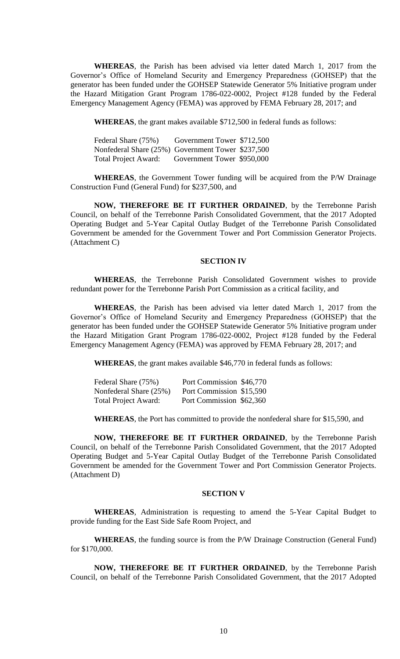**WHEREAS**, the Parish has been advised via letter dated March 1, 2017 from the Governor's Office of Homeland Security and Emergency Preparedness (GOHSEP) that the generator has been funded under the GOHSEP Statewide Generator 5% Initiative program under the Hazard Mitigation Grant Program 1786-022-0002, Project #128 funded by the Federal Emergency Management Agency (FEMA) was approved by FEMA February 28, 2017; and

**WHEREAS**, the grant makes available \$712,500 in federal funds as follows:

| Federal Share (75%)                               | Government Tower \$712,500 |  |
|---------------------------------------------------|----------------------------|--|
| Nonfederal Share (25%) Government Tower \$237,500 |                            |  |
| <b>Total Project Award:</b>                       | Government Tower \$950,000 |  |

**WHEREAS**, the Government Tower funding will be acquired from the P/W Drainage Construction Fund (General Fund) for \$237,500, and

**NOW, THEREFORE BE IT FURTHER ORDAINED**, by the Terrebonne Parish Council, on behalf of the Terrebonne Parish Consolidated Government, that the 2017 Adopted Operating Budget and 5-Year Capital Outlay Budget of the Terrebonne Parish Consolidated Government be amended for the Government Tower and Port Commission Generator Projects. (Attachment C)

#### **SECTION IV**

**WHEREAS**, the Terrebonne Parish Consolidated Government wishes to provide redundant power for the Terrebonne Parish Port Commission as a critical facility, and

**WHEREAS**, the Parish has been advised via letter dated March 1, 2017 from the Governor's Office of Homeland Security and Emergency Preparedness (GOHSEP) that the generator has been funded under the GOHSEP Statewide Generator 5% Initiative program under the Hazard Mitigation Grant Program 1786-022-0002, Project #128 funded by the Federal Emergency Management Agency (FEMA) was approved by FEMA February 28, 2017; and

**WHEREAS**, the grant makes available \$46,770 in federal funds as follows:

| Federal Share (75%)         | Port Commission \$46,770 |  |
|-----------------------------|--------------------------|--|
| Nonfederal Share (25%)      | Port Commission \$15,590 |  |
| <b>Total Project Award:</b> | Port Commission \$62,360 |  |

**WHEREAS**, the Port has committed to provide the nonfederal share for \$15,590, and

**NOW, THEREFORE BE IT FURTHER ORDAINED**, by the Terrebonne Parish Council, on behalf of the Terrebonne Parish Consolidated Government, that the 2017 Adopted Operating Budget and 5-Year Capital Outlay Budget of the Terrebonne Parish Consolidated Government be amended for the Government Tower and Port Commission Generator Projects. (Attachment D)

# **SECTION V**

**WHEREAS**, Administration is requesting to amend the 5-Year Capital Budget to provide funding for the East Side Safe Room Project, and

**WHEREAS**, the funding source is from the P/W Drainage Construction (General Fund) for \$170,000.

**NOW, THEREFORE BE IT FURTHER ORDAINED**, by the Terrebonne Parish Council, on behalf of the Terrebonne Parish Consolidated Government, that the 2017 Adopted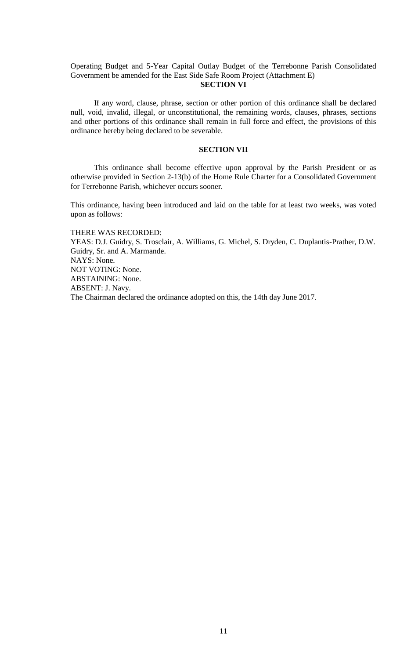Operating Budget and 5-Year Capital Outlay Budget of the Terrebonne Parish Consolidated Government be amended for the East Side Safe Room Project (Attachment E)

# **SECTION VI**

If any word, clause, phrase, section or other portion of this ordinance shall be declared null, void, invalid, illegal, or unconstitutional, the remaining words, clauses, phrases, sections and other portions of this ordinance shall remain in full force and effect, the provisions of this ordinance hereby being declared to be severable.

### **SECTION VII**

This ordinance shall become effective upon approval by the Parish President or as otherwise provided in Section 2-13(b) of the Home Rule Charter for a Consolidated Government for Terrebonne Parish, whichever occurs sooner.

This ordinance, having been introduced and laid on the table for at least two weeks, was voted upon as follows:

THERE WAS RECORDED: YEAS: D.J. Guidry, S. Trosclair, A. Williams, G. Michel, S. Dryden, C. Duplantis-Prather, D.W. Guidry, Sr. and A. Marmande. NAYS: None. NOT VOTING: None. ABSTAINING: None. ABSENT: J. Navy. The Chairman declared the ordinance adopted on this, the 14th day June 2017.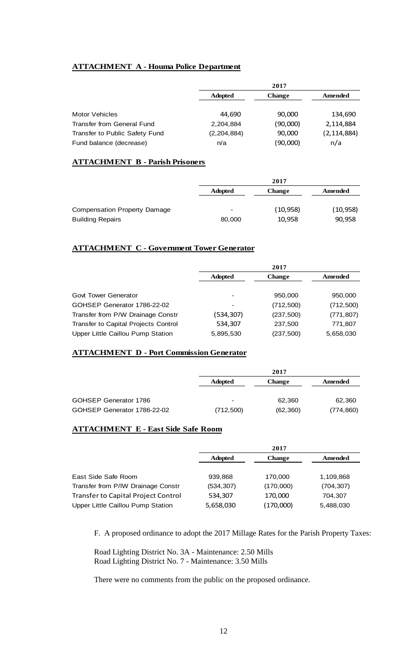# **ATTACHMENT A - Houma Police Department**

|                                   |                | 2017          |               |
|-----------------------------------|----------------|---------------|---------------|
|                                   | <b>Adopted</b> | <b>Change</b> | Amended       |
|                                   |                |               |               |
| Motor Vehicles                    | 44.690         | 90,000        | 134.690       |
| <b>Transfer from General Fund</b> | 2,204,884      | (90,000)      | 2,114,884     |
| Transfer to Public Safety Fund    | (2, 204, 884)  | 90,000        | (2, 114, 884) |
| Fund balance (decrease)           | n/a            | (90,000)      | n/a           |

# **ATTACHMENT B - Parish Prisoners**

|                              |                 | 2017          |           |
|------------------------------|-----------------|---------------|-----------|
|                              | <b>Adopted</b>  | <b>Change</b> | Amended   |
|                              |                 |               |           |
| Compensation Property Damage | $\qquad \qquad$ | (10, 958)     | (10, 958) |
| <b>Building Repairs</b>      | 80,000          | 10,958        | 90,958    |

# **ATTACHMENT C - Government Tower Generator**

|                                      |                | 2017          |            |
|--------------------------------------|----------------|---------------|------------|
|                                      | <b>Adopted</b> | <b>Change</b> | Amended    |
|                                      |                |               |            |
| <b>Govt Tower Generator</b>          |                | 950,000       | 950,000    |
| GOHSEP Generator 1786-22-02          |                | (712, 500)    | (712, 500) |
| Transfer from P/W Drainage Constr    | (534,307)      | (237, 500)    | (771, 807) |
| Transfer to Capital Projects Control | 534,307        | 237,500       | 771,807    |
| Upper Little Caillou Pump Station    | 5,895,530      | (237, 500)    | 5,658,030  |

# **ATTACHMENT D - Port Commission Generator**

|                             |                | 2017          |            |
|-----------------------------|----------------|---------------|------------|
|                             | <b>Adopted</b> | <b>Change</b> | Amended    |
|                             |                |               |            |
| GOHSEP Generator 1786       |                | 62,360        | 62,360     |
| GOHSEP Generator 1786-22-02 | (712,500)      | (62, 360)     | (774, 860) |

# **ATTACHMENT E - East Side Safe Room**

|                                            |                | 2017          |            |
|--------------------------------------------|----------------|---------------|------------|
|                                            | <b>Adopted</b> | <b>Change</b> | Amended    |
|                                            |                |               |            |
| East Side Safe Room                        | 939.868        | 170,000       | 1,109,868  |
| Transfer from P/IW Drainage Constr         | (534, 307)     | (170,000)     | (704, 307) |
| <b>Transfer to Capital Project Control</b> | 534,307        | 170,000       | 704,307    |
| Upper Little Caillou Pump Station          | 5,658,030      | (170,000)     | 5,488,030  |

F. A proposed ordinance to adopt the 2017 Millage Rates for the Parish Property Taxes:

Road Lighting District No. 3A - Maintenance: 2.50 Mills Road Lighting District No. 7 - Maintenance: 3.50 Mills

There were no comments from the public on the proposed ordinance.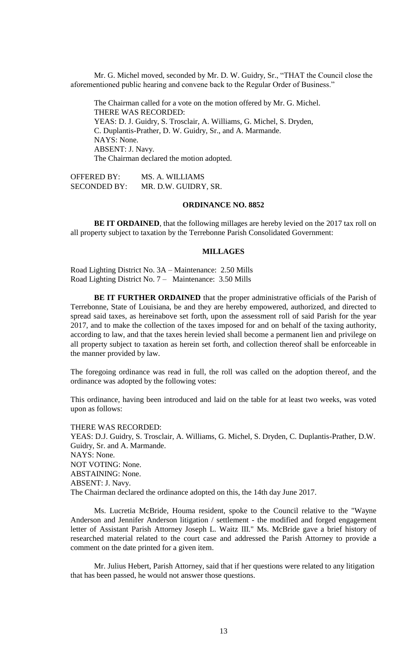Mr. G. Michel moved, seconded by Mr. D. W. Guidry, Sr., "THAT the Council close the aforementioned public hearing and convene back to the Regular Order of Business."

The Chairman called for a vote on the motion offered by Mr. G. Michel. THERE WAS RECORDED: YEAS: D. J. Guidry, S. Trosclair, A. Williams, G. Michel, S. Dryden, C. Duplantis-Prather, D. W. Guidry, Sr., and A. Marmande. NAYS: None. ABSENT: J. Navy. The Chairman declared the motion adopted.

OFFERED BY: MS. A. WILLIAMS SECONDED BY: MR. D.W. GUIDRY, SR.

### **ORDINANCE NO. 8852**

**BE IT ORDAINED**, that the following millages are hereby levied on the 2017 tax roll on all property subject to taxation by the Terrebonne Parish Consolidated Government:

#### **MILLAGES**

Road Lighting District No. 3A – Maintenance: 2.50 Mills Road Lighting District No. 7 – Maintenance: 3.50 Mills

**BE IT FURTHER ORDAINED** that the proper administrative officials of the Parish of Terrebonne, State of Louisiana, be and they are hereby empowered, authorized, and directed to spread said taxes, as hereinabove set forth, upon the assessment roll of said Parish for the year 2017, and to make the collection of the taxes imposed for and on behalf of the taxing authority, according to law, and that the taxes herein levied shall become a permanent lien and privilege on all property subject to taxation as herein set forth, and collection thereof shall be enforceable in the manner provided by law.

The foregoing ordinance was read in full, the roll was called on the adoption thereof, and the ordinance was adopted by the following votes:

This ordinance, having been introduced and laid on the table for at least two weeks, was voted upon as follows:

THERE WAS RECORDED: YEAS: D.J. Guidry, S. Trosclair, A. Williams, G. Michel, S. Dryden, C. Duplantis-Prather, D.W. Guidry, Sr. and A. Marmande. NAYS: None. NOT VOTING: None. ABSTAINING: None. ABSENT: J. Navy. The Chairman declared the ordinance adopted on this, the 14th day June 2017.

Ms. Lucretia McBride, Houma resident, spoke to the Council relative to the "Wayne Anderson and Jennifer Anderson litigation / settlement - the modified and forged engagement letter of Assistant Parish Attorney Joseph L. Waitz III." Ms. McBride gave a brief history of researched material related to the court case and addressed the Parish Attorney to provide a comment on the date printed for a given item.

Mr. Julius Hebert, Parish Attorney, said that if her questions were related to any litigation that has been passed, he would not answer those questions.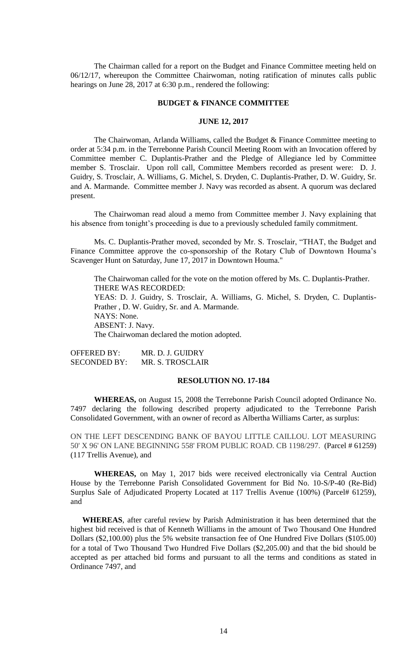The Chairman called for a report on the Budget and Finance Committee meeting held on 06/12/17, whereupon the Committee Chairwoman, noting ratification of minutes calls public hearings on June 28, 2017 at 6:30 p.m., rendered the following:

#### **BUDGET & FINANCE COMMITTEE**

## **JUNE 12, 2017**

The Chairwoman, Arlanda Williams, called the Budget & Finance Committee meeting to order at 5:34 p.m. in the Terrebonne Parish Council Meeting Room with an Invocation offered by Committee member C. Duplantis-Prather and the Pledge of Allegiance led by Committee member S. Trosclair. Upon roll call, Committee Members recorded as present were: D. J. Guidry, S. Trosclair, A. Williams, G. Michel, S. Dryden, C. Duplantis-Prather, D. W. Guidry, Sr. and A. Marmande. Committee member J. Navy was recorded as absent. A quorum was declared present.

The Chairwoman read aloud a memo from Committee member J. Navy explaining that his absence from tonight's proceeding is due to a previously scheduled family commitment.

Ms. C. Duplantis-Prather moved, seconded by Mr. S. Trosclair, "THAT, the Budget and Finance Committee approve the co-sponsorship of the Rotary Club of Downtown Houma's Scavenger Hunt on Saturday, June 17, 2017 in Downtown Houma."

The Chairwoman called for the vote on the motion offered by Ms. C. Duplantis-Prather. THERE WAS RECORDED: YEAS: D. J. Guidry, S. Trosclair, A. Williams, G. Michel, S. Dryden, C. Duplantis-Prather , D. W. Guidry, Sr. and A. Marmande. NAYS: None. ABSENT: J. Navy. The Chairwoman declared the motion adopted.

OFFERED BY: MR. D. J. GUIDRY SECONDED BY: MR. S. TROSCLAIR

### **RESOLUTION NO. 17-184**

**WHEREAS,** on August 15, 2008 the Terrebonne Parish Council adopted Ordinance No. 7497 declaring the following described property adjudicated to the Terrebonne Parish Consolidated Government, with an owner of record as Albertha Williams Carter, as surplus:

ON THE LEFT DESCENDING BANK OF BAYOU LITTLE CAILLOU. LOT MEASURING 50' X 96' ON LANE BEGINNING 558' FROM PUBLIC ROAD. CB 1198/297. (Parcel # 61259) (117 Trellis Avenue), and

**WHEREAS,** on May 1, 2017 bids were received electronically via Central Auction House by the Terrebonne Parish Consolidated Government for Bid No. 10-S/P-40 (Re-Bid) Surplus Sale of Adjudicated Property Located at 117 Trellis Avenue (100%) (Parcel# 61259), and

**WHEREAS**, after careful review by Parish Administration it has been determined that the highest bid received is that of Kenneth Williams in the amount of Two Thousand One Hundred Dollars (\$2,100.00) plus the 5% website transaction fee of One Hundred Five Dollars (\$105.00) for a total of Two Thousand Two Hundred Five Dollars (\$2,205.00) and that the bid should be accepted as per attached bid forms and pursuant to all the terms and conditions as stated in Ordinance 7497, and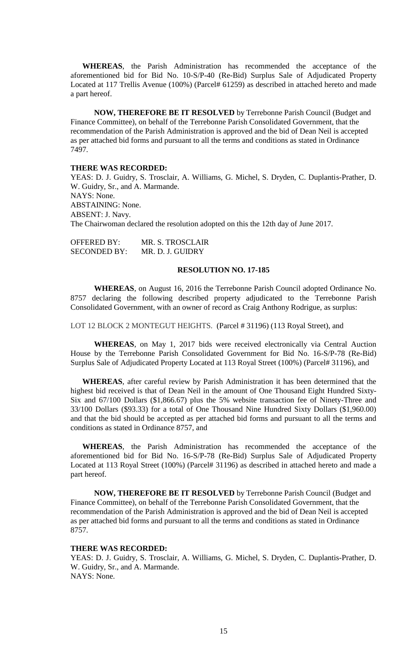**WHEREAS**, the Parish Administration has recommended the acceptance of the aforementioned bid for Bid No. 10-S/P-40 (Re-Bid) Surplus Sale of Adjudicated Property Located at 117 Trellis Avenue (100%) (Parcel# 61259) as described in attached hereto and made a part hereof.

**NOW, THEREFORE BE IT RESOLVED** by Terrebonne Parish Council (Budget and Finance Committee), on behalf of the Terrebonne Parish Consolidated Government, that the recommendation of the Parish Administration is approved and the bid of Dean Neil is accepted as per attached bid forms and pursuant to all the terms and conditions as stated in Ordinance 7497.

## **THERE WAS RECORDED:**

YEAS: D. J. Guidry, S. Trosclair, A. Williams, G. Michel, S. Dryden, C. Duplantis-Prather, D. W. Guidry, Sr., and A. Marmande. NAYS: None. ABSTAINING: None. ABSENT: J. Navy. The Chairwoman declared the resolution adopted on this the 12th day of June 2017.

OFFERED BY: MR. S. TROSCLAIR SECONDED BY: MR. D. J. GUIDRY

#### **RESOLUTION NO. 17-185**

**WHEREAS**, on August 16, 2016 the Terrebonne Parish Council adopted Ordinance No. 8757 declaring the following described property adjudicated to the Terrebonne Parish Consolidated Government, with an owner of record as Craig Anthony Rodrigue, as surplus:

LOT 12 BLOCK 2 MONTEGUT HEIGHTS. (Parcel # 31196) (113 Royal Street), and

**WHEREAS**, on May 1, 2017 bids were received electronically via Central Auction House by the Terrebonne Parish Consolidated Government for Bid No. 16-S/P-78 (Re-Bid) Surplus Sale of Adjudicated Property Located at 113 Royal Street (100%) (Parcel# 31196), and

**WHEREAS**, after careful review by Parish Administration it has been determined that the highest bid received is that of Dean Neil in the amount of One Thousand Eight Hundred Sixty-Six and 67/100 Dollars (\$1,866.67) plus the 5% website transaction fee of Ninety-Three and 33/100 Dollars (\$93.33) for a total of One Thousand Nine Hundred Sixty Dollars (\$1,960.00) and that the bid should be accepted as per attached bid forms and pursuant to all the terms and conditions as stated in Ordinance 8757, and

**WHEREAS**, the Parish Administration has recommended the acceptance of the aforementioned bid for Bid No. 16-S/P-78 (Re-Bid) Surplus Sale of Adjudicated Property Located at 113 Royal Street (100%) (Parcel# 31196) as described in attached hereto and made a part hereof.

**NOW, THEREFORE BE IT RESOLVED** by Terrebonne Parish Council (Budget and Finance Committee), on behalf of the Terrebonne Parish Consolidated Government, that the recommendation of the Parish Administration is approved and the bid of Dean Neil is accepted as per attached bid forms and pursuant to all the terms and conditions as stated in Ordinance 8757.

#### **THERE WAS RECORDED:**

YEAS: D. J. Guidry, S. Trosclair, A. Williams, G. Michel, S. Dryden, C. Duplantis-Prather, D. W. Guidry, Sr., and A. Marmande. NAYS: None.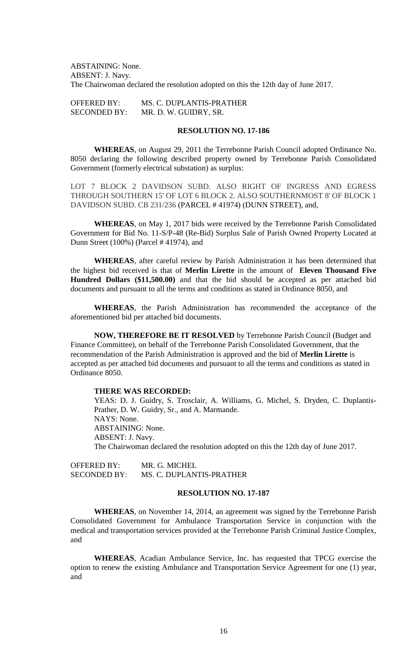ABSTAINING: None. ABSENT: J. Navy. The Chairwoman declared the resolution adopted on this the 12th day of June 2017.

OFFERED BY: MS. C. DUPLANTIS-PRATHER SECONDED BY: MR. D. W. GUIDRY, SR.

# **RESOLUTION NO. 17-186**

**WHEREAS**, on August 29, 2011 the Terrebonne Parish Council adopted Ordinance No. 8050 declaring the following described property owned by Terrebonne Parish Consolidated Government (formerly electrical substation) as surplus:

LOT 7 BLOCK 2 DAVIDSON SUBD. ALSO RIGHT OF INGRESS AND EGRESS THROUGH SOUTHERN 15' OF LOT 6 BLOCK 2. ALSO SOUTHERNMOST 8' OF BLOCK 1 DAVIDSON SUBD. CB 231/236 (PARCEL # 41974) (DUNN STREET), and,

**WHEREAS**, on May 1, 2017 bids were received by the Terrebonne Parish Consolidated Government for Bid No. 11-S/P-48 (Re-Bid) Surplus Sale of Parish Owned Property Located at Dunn Street (100%) (Parcel # 41974), and

**WHEREAS**, after careful review by Parish Administration it has been determined that the highest bid received is that of **Merlin Lirette** in the amount of **Eleven Thousand Five Hundred Dollars (\$11,500.00)** and that the bid should be accepted as per attached bid documents and pursuant to all the terms and conditions as stated in Ordinance 8050, and

**WHEREAS**, the Parish Administration has recommended the acceptance of the aforementioned bid per attached bid documents.

**NOW, THEREFORE BE IT RESOLVED** by Terrebonne Parish Council (Budget and Finance Committee), on behalf of the Terrebonne Parish Consolidated Government, that the recommendation of the Parish Administration is approved and the bid of **Merlin Lirette** is accepted as per attached bid documents and pursuant to all the terms and conditions as stated in Ordinance 8050.

## **THERE WAS RECORDED:**

YEAS: D. J. Guidry, S. Trosclair, A. Williams, G. Michel, S. Dryden, C. Duplantis-Prather, D. W. Guidry, Sr., and A. Marmande. NAYS: None. ABSTAINING: None. ABSENT: J. Navy. The Chairwoman declared the resolution adopted on this the 12th day of June 2017.

OFFERED BY: MR. G. MICHEL SECONDED BY: MS. C. DUPLANTIS-PRATHER

# **RESOLUTION NO. 17-187**

**WHEREAS**, on November 14, 2014, an agreement was signed by the Terrebonne Parish Consolidated Government for Ambulance Transportation Service in conjunction with the medical and transportation services provided at the Terrebonne Parish Criminal Justice Complex, and

**WHEREAS**, Acadian Ambulance Service, Inc. has requested that TPCG exercise the option to renew the existing Ambulance and Transportation Service Agreement for one (1) year, and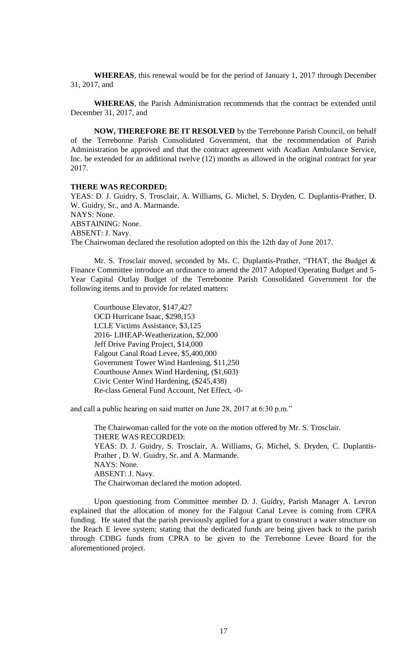**WHEREAS**, this renewal would be for the period of January 1, 2017 through December 31, 2017, and

**WHEREAS**, the Parish Administration recommends that the contract be extended until December 31, 2017, and

**NOW, THEREFORE BE IT RESOLVED** by the Terrebonne Parish Council, on behalf of the Terrebonne Parish Consolidated Government, that the recommendation of Parish Administration be approved and that the contract agreement with Acadian Ambulance Service, Inc. be extended for an additional twelve (12) months as allowed in the original contract for year 2017.

#### **THERE WAS RECORDED:**

YEAS: D. J. Guidry, S. Trosclair, A. Williams, G. Michel, S. Dryden, C. Duplantis-Prather, D. W. Guidry, Sr., and A. Marmande. NAYS: None. ABSTAINING: None. ABSENT: J. Navy. The Chairwoman declared the resolution adopted on this the 12th day of June 2017.

Mr. S. Trosclair moved, seconded by Ms. C. Duplantis-Prather, "THAT, the Budget & Finance Committee introduce an ordinance to amend the 2017 Adopted Operating Budget and 5- Year Capital Outlay Budget of the Terrebonne Parish Consolidated Government for the following items and to provide for related matters:

Courthouse Elevator, \$147,427 OCD Hurricane Isaac, \$298,153 LCLE Victims Assistance, \$3,125 2016- LIHEAP-Weatherization, \$2,000 Jeff Drive Paving Project, \$14,000 Falgout Canal Road Levee, \$5,400,000 Government Tower Wind Hardening, \$11,250 Courthouse Annex Wind Hardening, (\$1,603) Civic Center Wind Hardening, (\$245,438) Re-class General Fund Account, Net Effect, -0-

and call a public hearing on said matter on June 28, 2017 at 6:30 p.m."

The Chairwoman called for the vote on the motion offered by Mr. S. Trosclair. THERE WAS RECORDED: YEAS: D. J. Guidry, S. Trosclair, A. Williams, G. Michel, S. Dryden, C. Duplantis-Prather , D. W. Guidry, Sr. and A. Marmande. NAYS: None. ABSENT: J. Navy. The Chairwoman declared the motion adopted.

Upon questioning from Committee member D. J. Guidry, Parish Manager A. Levron explained that the allocation of money for the Falgout Canal Levee is coming from CPRA funding. He stated that the parish previously applied for a grant to construct a water structure on the Reach E levee system; stating that the dedicated funds are being given back to the parish through CDBG funds from CPRA to be given to the Terrebonne Levee Board for the aforementioned project.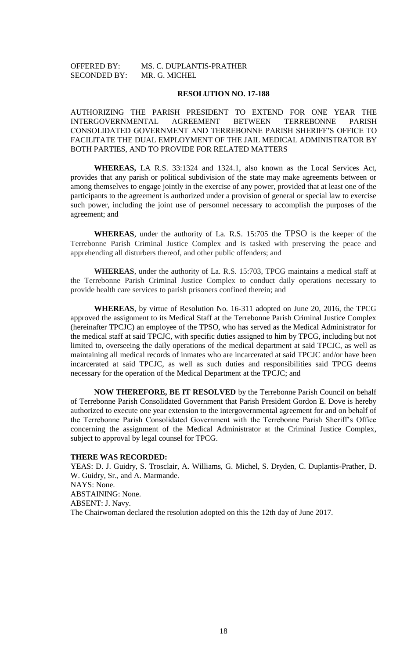# OFFERED BY: MS. C. DUPLANTIS-PRATHER SECONDED BY: MR. G. MICHEL

### **RESOLUTION NO. 17-188**

AUTHORIZING THE PARISH PRESIDENT TO EXTEND FOR ONE YEAR THE INTERGOVERNMENTAL AGREEMENT BETWEEN TERREBONNE PARISH CONSOLIDATED GOVERNMENT AND TERREBONNE PARISH SHERIFF'S OFFICE TO FACILITATE THE DUAL EMPLOYMENT OF THE JAIL MEDICAL ADMINISTRATOR BY BOTH PARTIES, AND TO PROVIDE FOR RELATED MATTERS

**WHEREAS,** LA R.S. 33:1324 and 1324.1, also known as the Local Services Act, provides that any parish or political subdivision of the state may make agreements between or among themselves to engage jointly in the exercise of any power, provided that at least one of the participants to the agreement is authorized under a provision of general or special law to exercise such power, including the joint use of personnel necessary to accomplish the purposes of the agreement; and

**WHEREAS**, under the authority of La. R.S. 15:705 the TPSO is the keeper of the Terrebonne Parish Criminal Justice Complex and is tasked with preserving the peace and apprehending all disturbers thereof, and other public offenders; and

**WHEREAS**, under the authority of La. R.S. 15:703, TPCG maintains a medical staff at the Terrebonne Parish Criminal Justice Complex to conduct daily operations necessary to provide health care services to parish prisoners confined therein; and

**WHEREAS**, by virtue of Resolution No. 16-311 adopted on June 20, 2016, the TPCG approved the assignment to its Medical Staff at the Terrebonne Parish Criminal Justice Complex (hereinafter TPCJC) an employee of the TPSO, who has served as the Medical Administrator for the medical staff at said TPCJC, with specific duties assigned to him by TPCG, including but not limited to, overseeing the daily operations of the medical department at said TPCJC, as well as maintaining all medical records of inmates who are incarcerated at said TPCJC and/or have been incarcerated at said TPCJC, as well as such duties and responsibilities said TPCG deems necessary for the operation of the Medical Department at the TPCJC; and

**NOW THEREFORE, BE IT RESOLVED** by the Terrebonne Parish Council on behalf of Terrebonne Parish Consolidated Government that Parish President Gordon E. Dove is hereby authorized to execute one year extension to the intergovernmental agreement for and on behalf of the Terrebonne Parish Consolidated Government with the Terrebonne Parish Sheriff's Office concerning the assignment of the Medical Administrator at the Criminal Justice Complex, subject to approval by legal counsel for TPCG.

### **THERE WAS RECORDED:**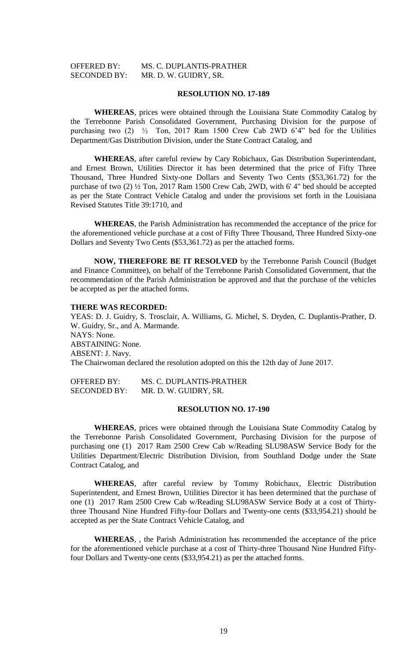# OFFERED BY: MS. C. DUPLANTIS-PRATHER SECONDED BY: MR. D. W. GUIDRY, SR.

#### **RESOLUTION NO. 17-189**

**WHEREAS**, prices were obtained through the Louisiana State Commodity Catalog by the Terrebonne Parish Consolidated Government, Purchasing Division for the purpose of purchasing two  $(2)$   $\frac{1}{2}$  Ton, 2017 Ram 1500 Crew Cab 2WD 6'4" bed for the Utilities Department/Gas Distribution Division, under the State Contract Catalog, and

**WHEREAS**, after careful review by Cary Robichaux, Gas Distribution Superintendant, and Ernest Brown, Utilities Director it has been determined that the price of Fifty Three Thousand, Three Hundred Sixty-one Dollars and Seventy Two Cents (\$53,361.72) for the purchase of two (2) ½ Ton, 2017 Ram 1500 Crew Cab, 2WD, with 6' 4" bed should be accepted as per the State Contract Vehicle Catalog and under the provisions set forth in the Louisiana Revised Statutes Title 39:1710, and

**WHEREAS**, the Parish Administration has recommended the acceptance of the price for the aforementioned vehicle purchase at a cost of Fifty Three Thousand, Three Hundred Sixty-one Dollars and Seventy Two Cents (\$53,361.72) as per the attached forms.

**NOW, THEREFORE BE IT RESOLVED** by the Terrebonne Parish Council (Budget and Finance Committee), on behalf of the Terrebonne Parish Consolidated Government, that the recommendation of the Parish Administration be approved and that the purchase of the vehicles be accepted as per the attached forms.

#### **THERE WAS RECORDED:**

YEAS: D. J. Guidry, S. Trosclair, A. Williams, G. Michel, S. Dryden, C. Duplantis-Prather, D. W. Guidry, Sr., and A. Marmande. NAYS: None. ABSTAINING: None. ABSENT: J. Navy. The Chairwoman declared the resolution adopted on this the 12th day of June 2017.

OFFERED BY: MS. C. DUPLANTIS-PRATHER SECONDED BY: MR. D. W. GUIDRY, SR.

### **RESOLUTION NO. 17-190**

**WHEREAS**, prices were obtained through the Louisiana State Commodity Catalog by the Terrebonne Parish Consolidated Government, Purchasing Division for the purpose of purchasing one (1) 2017 Ram 2500 Crew Cab w/Reading SLU98ASW Service Body for the Utilities Department/Electric Distribution Division, from Southland Dodge under the State Contract Catalog, and

**WHEREAS**, after careful review by Tommy Robichaux, Electric Distribution Superintendent, and Ernest Brown, Utilities Director it has been determined that the purchase of one (1) 2017 Ram 2500 Crew Cab w/Reading SLU98ASW Service Body at a cost of Thirtythree Thousand Nine Hundred Fifty-four Dollars and Twenty-one cents (\$33,954.21) should be accepted as per the State Contract Vehicle Catalog, and

**WHEREAS**, , the Parish Administration has recommended the acceptance of the price for the aforementioned vehicle purchase at a cost of Thirty-three Thousand Nine Hundred Fiftyfour Dollars and Twenty-one cents (\$33,954.21) as per the attached forms.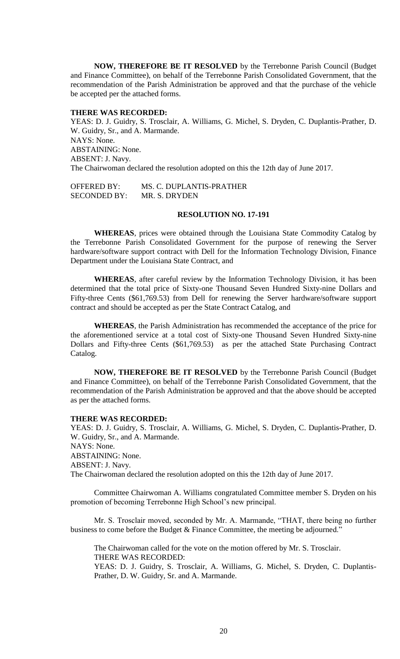**NOW, THEREFORE BE IT RESOLVED** by the Terrebonne Parish Council (Budget and Finance Committee), on behalf of the Terrebonne Parish Consolidated Government, that the recommendation of the Parish Administration be approved and that the purchase of the vehicle be accepted per the attached forms.

## **THERE WAS RECORDED:**

YEAS: D. J. Guidry, S. Trosclair, A. Williams, G. Michel, S. Dryden, C. Duplantis-Prather, D. W. Guidry, Sr., and A. Marmande. NAYS: None. ABSTAINING: None. ABSENT: J. Navy. The Chairwoman declared the resolution adopted on this the 12th day of June 2017.

OFFERED BY: MS. C. DUPLANTIS-PRATHER SECONDED BY: MR. S. DRYDEN

### **RESOLUTION NO. 17-191**

**WHEREAS**, prices were obtained through the Louisiana State Commodity Catalog by the Terrebonne Parish Consolidated Government for the purpose of renewing the Server hardware/software support contract with Dell for the Information Technology Division, Finance Department under the Louisiana State Contract, and

**WHEREAS**, after careful review by the Information Technology Division, it has been determined that the total price of Sixty-one Thousand Seven Hundred Sixty-nine Dollars and Fifty-three Cents (\$61,769.53) from Dell for renewing the Server hardware/software support contract and should be accepted as per the State Contract Catalog, and

**WHEREAS**, the Parish Administration has recommended the acceptance of the price for the aforementioned service at a total cost of Sixty-one Thousand Seven Hundred Sixty-nine Dollars and Fifty-three Cents (\$61,769.53) as per the attached State Purchasing Contract Catalog.

**NOW, THEREFORE BE IT RESOLVED** by the Terrebonne Parish Council (Budget and Finance Committee), on behalf of the Terrebonne Parish Consolidated Government, that the recommendation of the Parish Administration be approved and that the above should be accepted as per the attached forms.

#### **THERE WAS RECORDED:**

YEAS: D. J. Guidry, S. Trosclair, A. Williams, G. Michel, S. Dryden, C. Duplantis-Prather, D. W. Guidry, Sr., and A. Marmande. NAYS: None. ABSTAINING: None. ABSENT: J. Navy. The Chairwoman declared the resolution adopted on this the 12th day of June 2017.

Committee Chairwoman A. Williams congratulated Committee member S. Dryden on his promotion of becoming Terrebonne High School's new principal.

Mr. S. Trosclair moved, seconded by Mr. A. Marmande, "THAT, there being no further business to come before the Budget & Finance Committee, the meeting be adjourned."

The Chairwoman called for the vote on the motion offered by Mr. S. Trosclair. THERE WAS RECORDED: YEAS: D. J. Guidry, S. Trosclair, A. Williams, G. Michel, S. Dryden, C. Duplantis-

Prather, D. W. Guidry, Sr. and A. Marmande.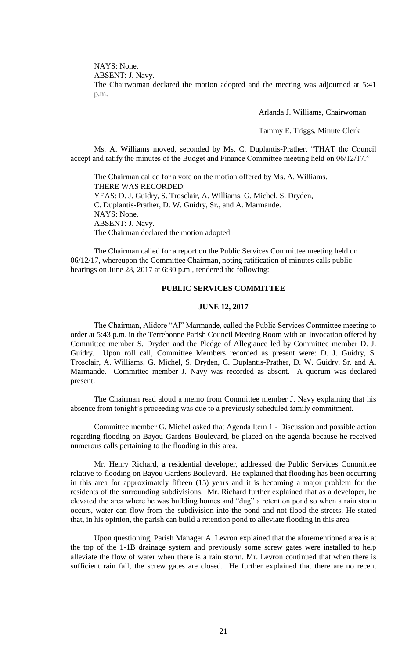NAYS: None.

ABSENT: J. Navy.

The Chairwoman declared the motion adopted and the meeting was adjourned at 5:41 p.m.

Arlanda J. Williams, Chairwoman

Tammy E. Triggs, Minute Clerk

Ms. A. Williams moved, seconded by Ms. C. Duplantis-Prather, "THAT the Council accept and ratify the minutes of the Budget and Finance Committee meeting held on 06/12/17."

The Chairman called for a vote on the motion offered by Ms. A. Williams. THERE WAS RECORDED: YEAS: D. J. Guidry, S. Trosclair, A. Williams, G. Michel, S. Dryden, C. Duplantis-Prather, D. W. Guidry, Sr., and A. Marmande. NAYS: None. ABSENT: J. Navy. The Chairman declared the motion adopted.

The Chairman called for a report on the Public Services Committee meeting held on 06/12/17, whereupon the Committee Chairman, noting ratification of minutes calls public hearings on June 28, 2017 at 6:30 p.m., rendered the following:

# **PUBLIC SERVICES COMMITTEE**

## **JUNE 12, 2017**

The Chairman, Alidore "Al" Marmande, called the Public Services Committee meeting to order at 5:43 p.m. in the Terrebonne Parish Council Meeting Room with an Invocation offered by Committee member S. Dryden and the Pledge of Allegiance led by Committee member D. J. Guidry. Upon roll call, Committee Members recorded as present were: D. J. Guidry, S. Trosclair, A. Williams, G. Michel, S. Dryden, C. Duplantis-Prather, D. W. Guidry, Sr. and A. Marmande. Committee member J. Navy was recorded as absent. A quorum was declared present.

The Chairman read aloud a memo from Committee member J. Navy explaining that his absence from tonight's proceeding was due to a previously scheduled family commitment.

Committee member G. Michel asked that Agenda Item 1 - Discussion and possible action regarding flooding on Bayou Gardens Boulevard, be placed on the agenda because he received numerous calls pertaining to the flooding in this area.

Mr. Henry Richard, a residential developer, addressed the Public Services Committee relative to flooding on Bayou Gardens Boulevard. He explained that flooding has been occurring in this area for approximately fifteen (15) years and it is becoming a major problem for the residents of the surrounding subdivisions. Mr. Richard further explained that as a developer, he elevated the area where he was building homes and "dug" a retention pond so when a rain storm occurs, water can flow from the subdivision into the pond and not flood the streets. He stated that, in his opinion, the parish can build a retention pond to alleviate flooding in this area.

Upon questioning, Parish Manager A. Levron explained that the aforementioned area is at the top of the 1-1B drainage system and previously some screw gates were installed to help alleviate the flow of water when there is a rain storm. Mr. Levron continued that when there is sufficient rain fall, the screw gates are closed. He further explained that there are no recent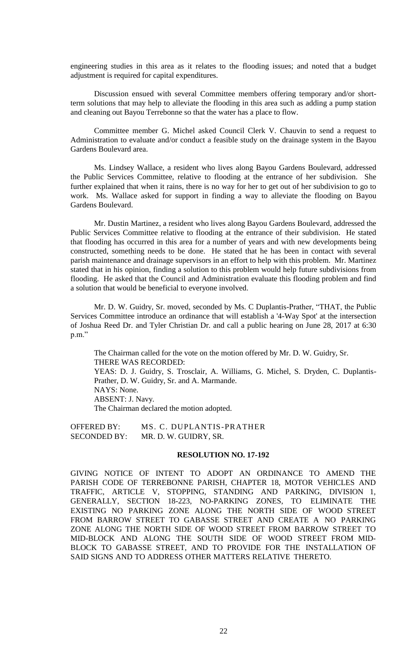engineering studies in this area as it relates to the flooding issues; and noted that a budget adjustment is required for capital expenditures.

Discussion ensued with several Committee members offering temporary and/or shortterm solutions that may help to alleviate the flooding in this area such as adding a pump station and cleaning out Bayou Terrebonne so that the water has a place to flow.

Committee member G. Michel asked Council Clerk V. Chauvin to send a request to Administration to evaluate and/or conduct a feasible study on the drainage system in the Bayou Gardens Boulevard area.

Ms. Lindsey Wallace, a resident who lives along Bayou Gardens Boulevard, addressed the Public Services Committee, relative to flooding at the entrance of her subdivision. She further explained that when it rains, there is no way for her to get out of her subdivision to go to work. Ms. Wallace asked for support in finding a way to alleviate the flooding on Bayou Gardens Boulevard.

Mr. Dustin Martinez, a resident who lives along Bayou Gardens Boulevard, addressed the Public Services Committee relative to flooding at the entrance of their subdivision. He stated that flooding has occurred in this area for a number of years and with new developments being constructed, something needs to be done. He stated that he has been in contact with several parish maintenance and drainage supervisors in an effort to help with this problem. Mr. Martinez stated that in his opinion, finding a solution to this problem would help future subdivisions from flooding. He asked that the Council and Administration evaluate this flooding problem and find a solution that would be beneficial to everyone involved.

Mr. D. W. Guidry, Sr. moved, seconded by Ms. C Duplantis-Prather, "THAT, the Public Services Committee introduce an ordinance that will establish a '4-Way Spot' at the intersection of Joshua Reed Dr. and Tyler Christian Dr. and call a public hearing on June 28, 2017 at 6:30 p.m."

The Chairman called for the vote on the motion offered by Mr. D. W. Guidry, Sr. THERE WAS RECORDED: YEAS: D. J. Guidry, S. Trosclair, A. Williams, G. Michel, S. Dryden, C. Duplantis-Prather, D. W. Guidry, Sr. and A. Marmande. NAYS: None. ABSENT: J. Navy. The Chairman declared the motion adopted.

OFFERED BY: MS. C. DUPLANTIS-PRATHER SECONDED BY: MR. D. W. GUIDRY, SR.

#### **RESOLUTION NO. 17-192**

GIVING NOTICE OF INTENT TO ADOPT AN ORDINANCE TO AMEND THE PARISH CODE OF TERREBONNE PARISH, CHAPTER 18, MOTOR VEHICLES AND TRAFFIC, ARTICLE V, STOPPING, STANDING AND PARKING, DIVISION 1, GENERALLY, SECTION 18-223, NO-PARKING ZONES, TO ELIMINATE THE EXISTING NO PARKING ZONE ALONG THE NORTH SIDE OF WOOD STREET FROM BARROW STREET TO GABASSE STREET AND CREATE A NO PARKING ZONE ALONG THE NORTH SIDE OF WOOD STREET FROM BARROW STREET TO MID-BLOCK AND ALONG THE SOUTH SIDE OF WOOD STREET FROM MID-BLOCK TO GABASSE STREET, AND TO PROVIDE FOR THE INSTALLATION OF SAID SIGNS AND TO ADDRESS OTHER MATTERS RELATIVE THERETO.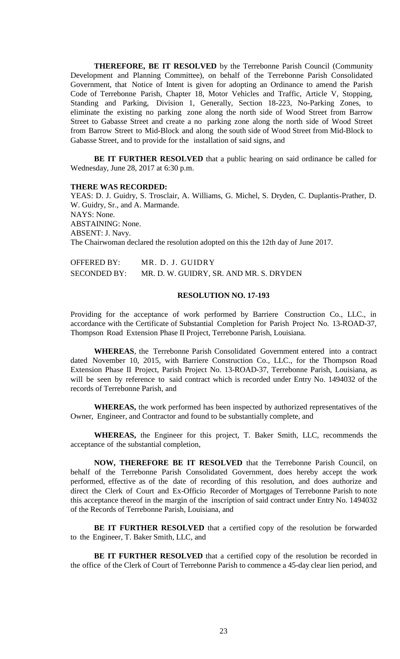**THEREFORE, BE IT RESOLVED** by the Terrebonne Parish Council (Community Development and Planning Committee), on behalf of the Terrebonne Parish Consolidated Government, that Notice of Intent is given for adopting an Ordinance to amend the Parish Code of Terrebonne Parish, Chapter 18, Motor Vehicles and Traffic, Article V, Stopping, Standing and Parking, Division 1, Generally, Section 18-223, No-Parking Zones, to eliminate the existing no parking zone along the north side of Wood Street from Barrow Street to Gabasse Street and create a no parking zone along the north side of Wood Street from Barrow Street to Mid-Block and along the south side of Wood Street from Mid-Block to Gabasse Street, and to provide for the installation of said signs, and

**BE IT FURTHER RESOLVED** that a public hearing on said ordinance be called for Wednesday, June 28, 2017 at 6:30 p.m.

#### **THERE WAS RECORDED:**

YEAS: D. J. Guidry, S. Trosclair, A. Williams, G. Michel, S. Dryden, C. Duplantis-Prather, D. W. Guidry, Sr., and A. Marmande. NAYS: None. ABSTAINING: None. ABSENT: J. Navy. The Chairwoman declared the resolution adopted on this the 12th day of June 2017.

| <b>OFFERED BY:</b>  | MR. D. J. GUIDRY                        |
|---------------------|-----------------------------------------|
| <b>SECONDED BY:</b> | MR. D. W. GUIDRY, SR. AND MR. S. DRYDEN |

### **RESOLUTION NO. 17-193**

Providing for the acceptance of work performed by Barriere Construction Co., LLC., in accordance with the Certificate of Substantial Completion for Parish Project No. 13-ROAD-37, Thompson Road Extension Phase II Project, Terrebonne Parish, Louisiana.

**WHEREAS**, the Terrebonne Parish Consolidated Government entered into a contract dated November 10, 2015, with Barriere Construction Co., LLC., for the Thompson Road Extension Phase II Project, Parish Project No. 13-ROAD-37, Terrebonne Parish, Louisiana, as will be seen by reference to said contract which is recorded under Entry No. 1494032 of the records of Terrebonne Parish, and

**WHEREAS,** the work performed has been inspected by authorized representatives of the Owner, Engineer, and Contractor and found to be substantially complete, and

**WHEREAS,** the Engineer for this project, T. Baker Smith, LLC, recommends the acceptance of the substantial completion,

**NOW, THEREFORE BE IT RESOLVED** that the Terrebonne Parish Council, on behalf of the Terrebonne Parish Consolidated Government, does hereby accept the work performed, effective as of the date of recording of this resolution, and does authorize and direct the Clerk of Court and Ex-Officio Recorder of Mortgages of Terrebonne Parish to note this acceptance thereof in the margin of the inscription of said contract under Entry No. 1494032 of the Records of Terrebonne Parish, Louisiana, and

**BE IT FURTHER RESOLVED** that a certified copy of the resolution be forwarded to the Engineer, T. Baker Smith, LLC, and

**BE IT FURTHER RESOLVED** that a certified copy of the resolution be recorded in the office of the Clerk of Court of Terrebonne Parish to commence a 45-day clear lien period, and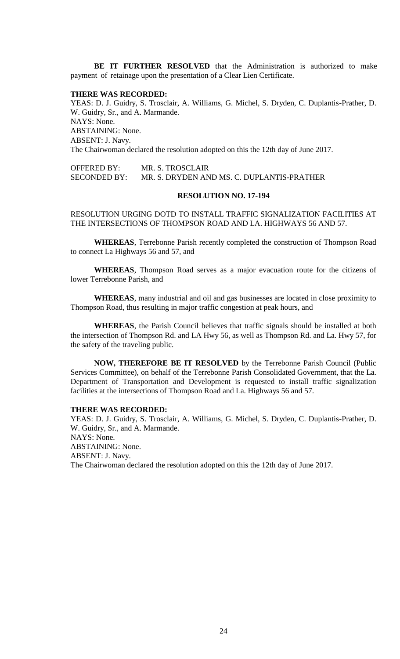**BE IT FURTHER RESOLVED** that the Administration is authorized to make payment of retainage upon the presentation of a Clear Lien Certificate.

#### **THERE WAS RECORDED:**

YEAS: D. J. Guidry, S. Trosclair, A. Williams, G. Michel, S. Dryden, C. Duplantis-Prather, D. W. Guidry, Sr., and A. Marmande. NAYS: None. ABSTAINING: None. ABSENT: J. Navy. The Chairwoman declared the resolution adopted on this the 12th day of June 2017.

OFFERED BY: MR. S. TROSCLAIR SECONDED BY: MR. S. DRYDEN AND MS. C. DUPLANTIS-PRATHER

### **RESOLUTION NO. 17-194**

RESOLUTION URGING DOTD TO INSTALL TRAFFIC SIGNALIZATION FACILITIES AT THE INTERSECTIONS OF THOMPSON ROAD AND LA. HIGHWAYS 56 AND 57.

**WHEREAS**, Terrebonne Parish recently completed the construction of Thompson Road to connect La Highways 56 and 57, and

**WHEREAS**, Thompson Road serves as a major evacuation route for the citizens of lower Terrebonne Parish, and

**WHEREAS**, many industrial and oil and gas businesses are located in close proximity to Thompson Road, thus resulting in major traffic congestion at peak hours, and

**WHEREAS**, the Parish Council believes that traffic signals should be installed at both the intersection of Thompson Rd. and LA Hwy 56, as well as Thompson Rd. and La. Hwy 57, for the safety of the traveling public.

**NOW, THEREFORE BE IT RESOLVED** by the Terrebonne Parish Council (Public Services Committee), on behalf of the Terrebonne Parish Consolidated Government, that the La. Department of Transportation and Development is requested to install traffic signalization facilities at the intersections of Thompson Road and La. Highways 56 and 57.

### **THERE WAS RECORDED:**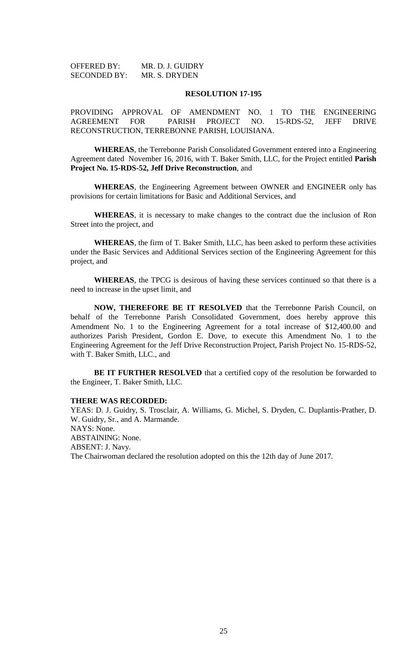| <b>OFFERED BY:</b>  | MR. D. J. GUIDRY |
|---------------------|------------------|
| <b>SECONDED BY:</b> | MR. S. DRYDEN    |

#### **RESOLUTION 17-195**

PROVIDING APPROVAL OF AMENDMENT NO. 1 TO THE ENGINEERING AGREEMENT FOR PARISH PROJECT NO. 15-RDS-52, JEFF DRIVE RECONSTRUCTION, TERREBONNE PARISH, LOUISIANA.

**WHEREAS**, the Terrebonne Parish Consolidated Government entered into a Engineering Agreement dated November 16, 2016, with T. Baker Smith, LLC, for the Project entitled **Parish Project No. 15-RDS-52, Jeff Drive Reconstruction**, and

**WHEREAS**, the Engineering Agreement between OWNER and ENGINEER only has provisions for certain limitations for Basic and Additional Services, and

**WHEREAS**, it is necessary to make changes to the contract due the inclusion of Ron Street into the project, and

**WHEREAS**, the firm of T. Baker Smith, LLC, has been asked to perform these activities under the Basic Services and Additional Services section of the Engineering Agreement for this project, and

**WHEREAS**, the TPCG is desirous of having these services continued so that there is a need to increase in the upset limit, and

**NOW, THEREFORE BE IT RESOLVED** that the Terrebonne Parish Council, on behalf of the Terrebonne Parish Consolidated Government, does hereby approve this Amendment No. 1 to the Engineering Agreement for a total increase of \$12,400.00 and authorizes Parish President, Gordon E. Dove, to execute this Amendment No. 1 to the Engineering Agreement for the Jeff Drive Reconstruction Project, Parish Project No. 15-RDS-52, with T. Baker Smith, LLC., and

**BE IT FURTHER RESOLVED** that a certified copy of the resolution be forwarded to the Engineer, T. Baker Smith, LLC.

#### **THERE WAS RECORDED:**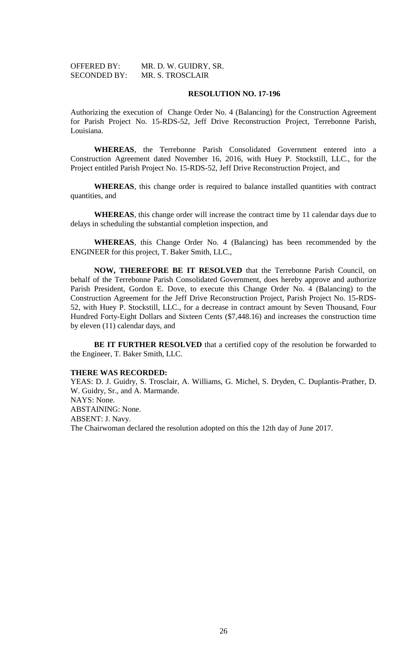| <b>OFFERED BY:</b>  | MR. D. W. GUIDRY, SR.   |
|---------------------|-------------------------|
| <b>SECONDED BY:</b> | <b>MR. S. TROSCLAIR</b> |

#### **RESOLUTION NO. 17-196**

Authorizing the execution of Change Order No. 4 (Balancing) for the Construction Agreement for Parish Project No. 15-RDS-52, Jeff Drive Reconstruction Project, Terrebonne Parish, Louisiana.

**WHEREAS**, the Terrebonne Parish Consolidated Government entered into a Construction Agreement dated November 16, 2016, with Huey P. Stockstill, LLC., for the Project entitled Parish Project No. 15-RDS-52, Jeff Drive Reconstruction Project, and

**WHEREAS**, this change order is required to balance installed quantities with contract quantities, and

**WHEREAS**, this change order will increase the contract time by 11 calendar days due to delays in scheduling the substantial completion inspection, and

**WHEREAS**, this Change Order No. 4 (Balancing) has been recommended by the ENGINEER for this project, T. Baker Smith, LLC.,

**NOW, THEREFORE BE IT RESOLVED** that the Terrebonne Parish Council, on behalf of the Terrebonne Parish Consolidated Government, does hereby approve and authorize Parish President, Gordon E. Dove, to execute this Change Order No. 4 (Balancing) to the Construction Agreement for the Jeff Drive Reconstruction Project, Parish Project No. 15-RDS-52, with Huey P. Stockstill, LLC., for a decrease in contract amount by Seven Thousand, Four Hundred Forty-Eight Dollars and Sixteen Cents (\$7,448.16) and increases the construction time by eleven (11) calendar days, and

**BE IT FURTHER RESOLVED** that a certified copy of the resolution be forwarded to the Engineer, T. Baker Smith, LLC.

#### **THERE WAS RECORDED:**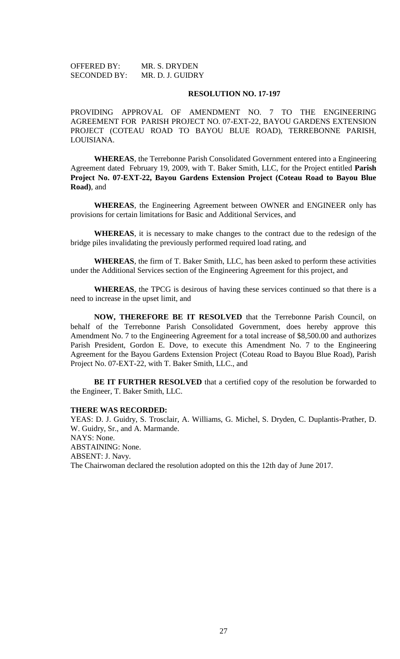OFFERED BY: MR. S. DRYDEN SECONDED BY: MR. D. J. GUIDRY

#### **RESOLUTION NO. 17-197**

PROVIDING APPROVAL OF AMENDMENT NO. 7 TO THE ENGINEERING AGREEMENT FOR PARISH PROJECT NO. 07-EXT-22, BAYOU GARDENS EXTENSION PROJECT (COTEAU ROAD TO BAYOU BLUE ROAD), TERREBONNE PARISH, LOUISIANA.

**WHEREAS**, the Terrebonne Parish Consolidated Government entered into a Engineering Agreement dated February 19, 2009, with T. Baker Smith, LLC, for the Project entitled **Parish Project No. 07-EXT-22, Bayou Gardens Extension Project (Coteau Road to Bayou Blue Road)**, and

**WHEREAS**, the Engineering Agreement between OWNER and ENGINEER only has provisions for certain limitations for Basic and Additional Services, and

**WHEREAS**, it is necessary to make changes to the contract due to the redesign of the bridge piles invalidating the previously performed required load rating, and

**WHEREAS**, the firm of T. Baker Smith, LLC, has been asked to perform these activities under the Additional Services section of the Engineering Agreement for this project, and

**WHEREAS**, the TPCG is desirous of having these services continued so that there is a need to increase in the upset limit, and

**NOW, THEREFORE BE IT RESOLVED** that the Terrebonne Parish Council, on behalf of the Terrebonne Parish Consolidated Government, does hereby approve this Amendment No. 7 to the Engineering Agreement for a total increase of \$8,500.00 and authorizes Parish President, Gordon E. Dove, to execute this Amendment No. 7 to the Engineering Agreement for the Bayou Gardens Extension Project (Coteau Road to Bayou Blue Road), Parish Project No. 07-EXT-22, with T. Baker Smith, LLC., and

**BE IT FURTHER RESOLVED** that a certified copy of the resolution be forwarded to the Engineer, T. Baker Smith, LLC.

## **THERE WAS RECORDED:**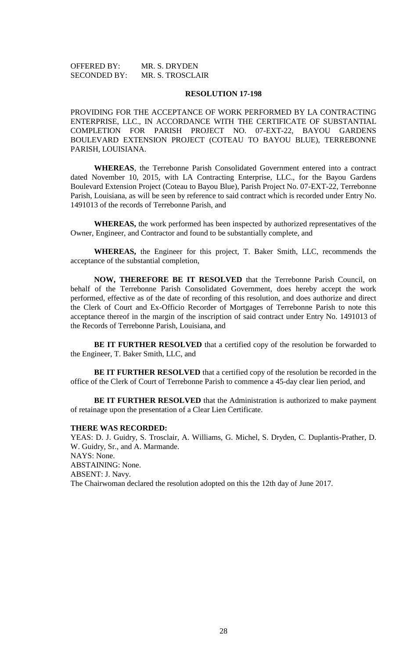OFFERED BY: MR. S. DRYDEN SECONDED BY: MR. S. TROSCLAIR

#### **RESOLUTION 17-198**

PROVIDING FOR THE ACCEPTANCE OF WORK PERFORMED BY LA CONTRACTING ENTERPRISE, LLC., IN ACCORDANCE WITH THE CERTIFICATE OF SUBSTANTIAL COMPLETION FOR PARISH PROJECT NO. 07-EXT-22, BAYOU GARDENS BOULEVARD EXTENSION PROJECT (COTEAU TO BAYOU BLUE), TERREBONNE PARISH, LOUISIANA.

**WHEREAS**, the Terrebonne Parish Consolidated Government entered into a contract dated November 10, 2015, with LA Contracting Enterprise, LLC., for the Bayou Gardens Boulevard Extension Project (Coteau to Bayou Blue), Parish Project No. 07-EXT-22, Terrebonne Parish, Louisiana, as will be seen by reference to said contract which is recorded under Entry No. 1491013 of the records of Terrebonne Parish, and

**WHEREAS,** the work performed has been inspected by authorized representatives of the Owner, Engineer, and Contractor and found to be substantially complete, and

**WHEREAS,** the Engineer for this project, T. Baker Smith, LLC, recommends the acceptance of the substantial completion,

**NOW, THEREFORE BE IT RESOLVED** that the Terrebonne Parish Council, on behalf of the Terrebonne Parish Consolidated Government, does hereby accept the work performed, effective as of the date of recording of this resolution, and does authorize and direct the Clerk of Court and Ex-Officio Recorder of Mortgages of Terrebonne Parish to note this acceptance thereof in the margin of the inscription of said contract under Entry No. 1491013 of the Records of Terrebonne Parish, Louisiana, and

**BE IT FURTHER RESOLVED** that a certified copy of the resolution be forwarded to the Engineer, T. Baker Smith, LLC, and

**BE IT FURTHER RESOLVED** that a certified copy of the resolution be recorded in the office of the Clerk of Court of Terrebonne Parish to commence a 45-day clear lien period, and

**BE IT FURTHER RESOLVED** that the Administration is authorized to make payment of retainage upon the presentation of a Clear Lien Certificate.

### **THERE WAS RECORDED:**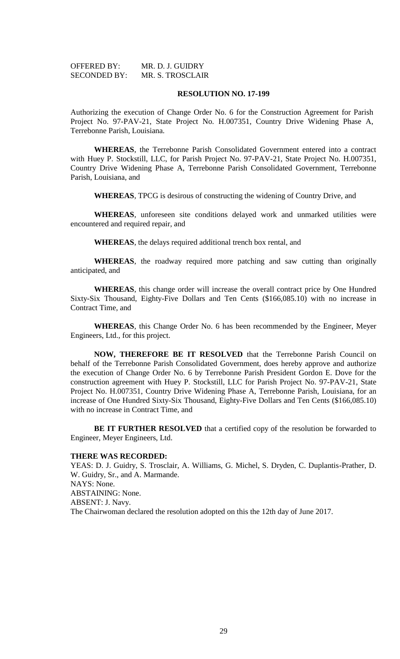| <b>OFFERED BY:</b>  | MR. D. J. GUIDRY |
|---------------------|------------------|
| <b>SECONDED BY:</b> | MR. S. TROSCLAIR |

#### **RESOLUTION NO. 17-199**

Authorizing the execution of Change Order No. 6 for the Construction Agreement for Parish Project No. 97-PAV-21, State Project No. H.007351, Country Drive Widening Phase A, Terrebonne Parish, Louisiana.

**WHEREAS**, the Terrebonne Parish Consolidated Government entered into a contract with Huey P. Stockstill, LLC, for Parish Project No. 97-PAV-21, State Project No. H.007351, Country Drive Widening Phase A, Terrebonne Parish Consolidated Government, Terrebonne Parish, Louisiana, and

**WHEREAS**, TPCG is desirous of constructing the widening of Country Drive, and

**WHEREAS**, unforeseen site conditions delayed work and unmarked utilities were encountered and required repair, and

**WHEREAS**, the delays required additional trench box rental, and

**WHEREAS**, the roadway required more patching and saw cutting than originally anticipated, and

**WHEREAS**, this change order will increase the overall contract price by One Hundred Sixty-Six Thousand, Eighty-Five Dollars and Ten Cents (\$166,085.10) with no increase in Contract Time, and

**WHEREAS**, this Change Order No. 6 has been recommended by the Engineer, Meyer Engineers, Ltd., for this project.

**NOW, THEREFORE BE IT RESOLVED** that the Terrebonne Parish Council on behalf of the Terrebonne Parish Consolidated Government, does hereby approve and authorize the execution of Change Order No. 6 by Terrebonne Parish President Gordon E. Dove for the construction agreement with Huey P. Stockstill, LLC for Parish Project No. 97-PAV-21, State Project No. H.007351, Country Drive Widening Phase A, Terrebonne Parish, Louisiana, for an increase of One Hundred Sixty-Six Thousand, Eighty-Five Dollars and Ten Cents (\$166,085.10) with no increase in Contract Time, and

**BE IT FURTHER RESOLVED** that a certified copy of the resolution be forwarded to Engineer, Meyer Engineers, Ltd.

#### **THERE WAS RECORDED:**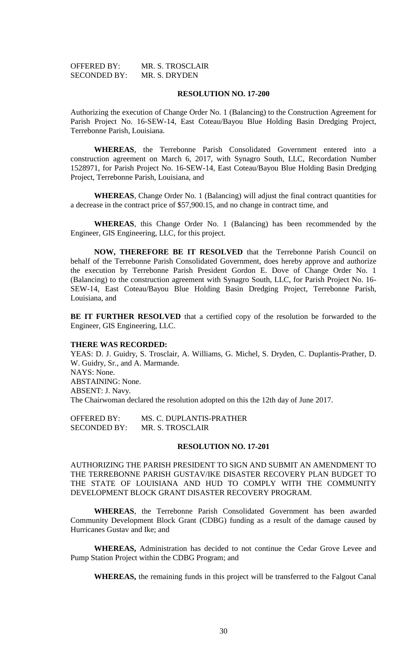| <b>OFFERED BY:</b>  | MR. S. TROSCLAIR |
|---------------------|------------------|
| <b>SECONDED BY:</b> | MR. S. DRYDEN    |

#### **RESOLUTION NO. 17-200**

Authorizing the execution of Change Order No. 1 (Balancing) to the Construction Agreement for Parish Project No. 16-SEW-14, East Coteau/Bayou Blue Holding Basin Dredging Project, Terrebonne Parish, Louisiana.

**WHEREAS**, the Terrebonne Parish Consolidated Government entered into a construction agreement on March 6, 2017, with Synagro South, LLC, Recordation Number 1528971, for Parish Project No. 16-SEW-14, East Coteau/Bayou Blue Holding Basin Dredging Project, Terrebonne Parish, Louisiana, and

**WHEREAS**, Change Order No. 1 (Balancing) will adjust the final contract quantities for a decrease in the contract price of \$57,900.15, and no change in contract time, and

**WHEREAS**, this Change Order No. 1 (Balancing) has been recommended by the Engineer, GIS Engineering, LLC, for this project.

**NOW, THEREFORE BE IT RESOLVED** that the Terrebonne Parish Council on behalf of the Terrebonne Parish Consolidated Government, does hereby approve and authorize the execution by Terrebonne Parish President Gordon E. Dove of Change Order No. 1 (Balancing) to the construction agreement with Synagro South, LLC, for Parish Project No. 16- SEW-14, East Coteau/Bayou Blue Holding Basin Dredging Project, Terrebonne Parish, Louisiana, and

**BE IT FURTHER RESOLVED** that a certified copy of the resolution be forwarded to the Engineer, GIS Engineering, LLC.

#### **THERE WAS RECORDED:**

YEAS: D. J. Guidry, S. Trosclair, A. Williams, G. Michel, S. Dryden, C. Duplantis-Prather, D. W. Guidry, Sr., and A. Marmande. NAYS: None. ABSTAINING: None. ABSENT: J. Navy. The Chairwoman declared the resolution adopted on this the 12th day of June 2017.

OFFERED BY: MS. C. DUPLANTIS-PRATHER SECONDED BY: MR. S. TROSCLAIR

### **RESOLUTION NO. 17-201**

AUTHORIZING THE PARISH PRESIDENT TO SIGN AND SUBMIT AN AMENDMENT TO THE TERREBONNE PARISH GUSTAV/IKE DISASTER RECOVERY PLAN BUDGET TO THE STATE OF LOUISIANA AND HUD TO COMPLY WITH THE COMMUNITY DEVELOPMENT BLOCK GRANT DISASTER RECOVERY PROGRAM.

**WHEREAS**, the Terrebonne Parish Consolidated Government has been awarded Community Development Block Grant (CDBG) funding as a result of the damage caused by Hurricanes Gustav and Ike; and

**WHEREAS,** Administration has decided to not continue the Cedar Grove Levee and Pump Station Project within the CDBG Program; and

**WHEREAS,** the remaining funds in this project will be transferred to the Falgout Canal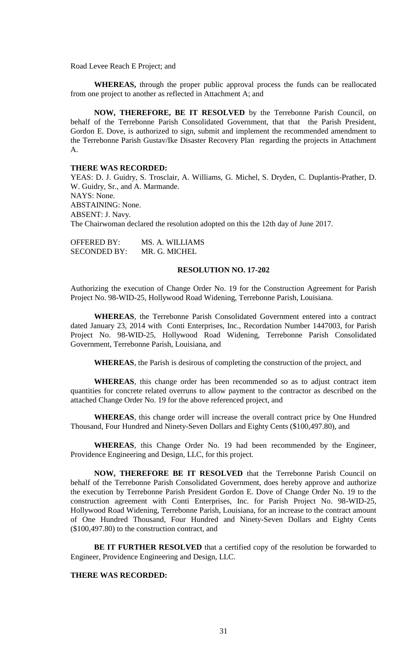Road Levee Reach E Project; and

**WHEREAS,** through the proper public approval process the funds can be reallocated from one project to another as reflected in Attachment A; and

**NOW, THEREFORE, BE IT RESOLVED** by the Terrebonne Parish Council, on behalf of the Terrebonne Parish Consolidated Government, that that the Parish President, Gordon E. Dove, is authorized to sign, submit and implement the recommended amendment to the Terrebonne Parish Gustav/Ike Disaster Recovery Plan regarding the projects in Attachment A.

#### **THERE WAS RECORDED:**

YEAS: D. J. Guidry, S. Trosclair, A. Williams, G. Michel, S. Dryden, C. Duplantis-Prather, D. W. Guidry, Sr., and A. Marmande. NAYS: None. ABSTAINING: None. ABSENT: J. Navy. The Chairwoman declared the resolution adopted on this the 12th day of June 2017.

OFFERED BY: MS. A. WILLIAMS SECONDED BY: MR. G. MICHEL

### **RESOLUTION NO. 17-202**

Authorizing the execution of Change Order No. 19 for the Construction Agreement for Parish Project No. 98-WID-25, Hollywood Road Widening, Terrebonne Parish, Louisiana.

**WHEREAS**, the Terrebonne Parish Consolidated Government entered into a contract dated January 23, 2014 with Conti Enterprises, Inc., Recordation Number 1447003, for Parish Project No. 98-WID-25, Hollywood Road Widening, Terrebonne Parish Consolidated Government, Terrebonne Parish, Louisiana, and

**WHEREAS**, the Parish is desirous of completing the construction of the project, and

**WHEREAS**, this change order has been recommended so as to adjust contract item quantities for concrete related overruns to allow payment to the contractor as described on the attached Change Order No. 19 for the above referenced project, and

**WHEREAS**, this change order will increase the overall contract price by One Hundred Thousand, Four Hundred and Ninety-Seven Dollars and Eighty Cents (\$100,497.80), and

**WHEREAS**, this Change Order No. 19 had been recommended by the Engineer, Providence Engineering and Design, LLC, for this project.

**NOW, THEREFORE BE IT RESOLVED** that the Terrebonne Parish Council on behalf of the Terrebonne Parish Consolidated Government, does hereby approve and authorize the execution by Terrebonne Parish President Gordon E. Dove of Change Order No. 19 to the construction agreement with Conti Enterprises, Inc. for Parish Project No. 98-WID-25, Hollywood Road Widening, Terrebonne Parish, Louisiana, for an increase to the contract amount of One Hundred Thousand, Four Hundred and Ninety-Seven Dollars and Eighty Cents (\$100,497.80) to the construction contract, and

**BE IT FURTHER RESOLVED** that a certified copy of the resolution be forwarded to Engineer, Providence Engineering and Design, LLC.

### **THERE WAS RECORDED:**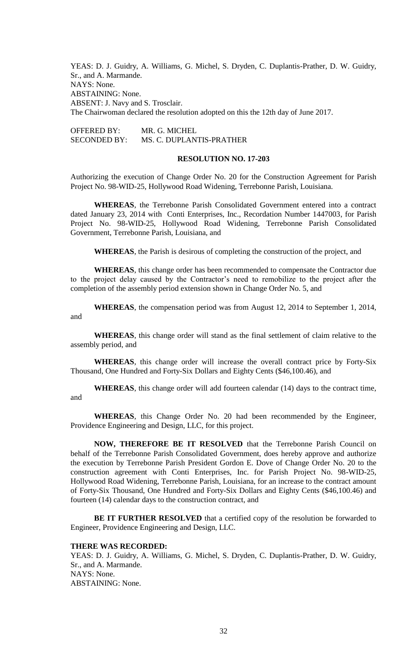YEAS: D. J. Guidry, A. Williams, G. Michel, S. Dryden, C. Duplantis-Prather, D. W. Guidry, Sr., and A. Marmande. NAYS: None. ABSTAINING: None. ABSENT: J. Navy and S. Trosclair. The Chairwoman declared the resolution adopted on this the 12th day of June 2017.

OFFERED BY: MR. G. MICHEL SECONDED BY: MS. C. DUPLANTIS-PRATHER

#### **RESOLUTION NO. 17-203**

Authorizing the execution of Change Order No. 20 for the Construction Agreement for Parish Project No. 98-WID-25, Hollywood Road Widening, Terrebonne Parish, Louisiana.

**WHEREAS**, the Terrebonne Parish Consolidated Government entered into a contract dated January 23, 2014 with Conti Enterprises, Inc., Recordation Number 1447003, for Parish Project No. 98-WID-25, Hollywood Road Widening, Terrebonne Parish Consolidated Government, Terrebonne Parish, Louisiana, and

**WHEREAS**, the Parish is desirous of completing the construction of the project, and

**WHEREAS**, this change order has been recommended to compensate the Contractor due to the project delay caused by the Contractor's need to remobilize to the project after the completion of the assembly period extension shown in Change Order No. 5, and

**WHEREAS**, the compensation period was from August 12, 2014 to September 1, 2014, and

**WHEREAS**, this change order will stand as the final settlement of claim relative to the assembly period, and

**WHEREAS**, this change order will increase the overall contract price by Forty-Six Thousand, One Hundred and Forty-Six Dollars and Eighty Cents (\$46,100.46), and

**WHEREAS**, this change order will add fourteen calendar (14) days to the contract time, and

**WHEREAS**, this Change Order No. 20 had been recommended by the Engineer, Providence Engineering and Design, LLC, for this project.

**NOW, THEREFORE BE IT RESOLVED** that the Terrebonne Parish Council on behalf of the Terrebonne Parish Consolidated Government, does hereby approve and authorize the execution by Terrebonne Parish President Gordon E. Dove of Change Order No. 20 to the construction agreement with Conti Enterprises, Inc. for Parish Project No. 98-WID-25, Hollywood Road Widening, Terrebonne Parish, Louisiana, for an increase to the contract amount of Forty-Six Thousand, One Hundred and Forty-Six Dollars and Eighty Cents (\$46,100.46) and fourteen (14) calendar days to the construction contract, and

**BE IT FURTHER RESOLVED** that a certified copy of the resolution be forwarded to Engineer, Providence Engineering and Design, LLC.

# **THERE WAS RECORDED:**

YEAS: D. J. Guidry, A. Williams, G. Michel, S. Dryden, C. Duplantis-Prather, D. W. Guidry, Sr., and A. Marmande. NAYS: None. ABSTAINING: None.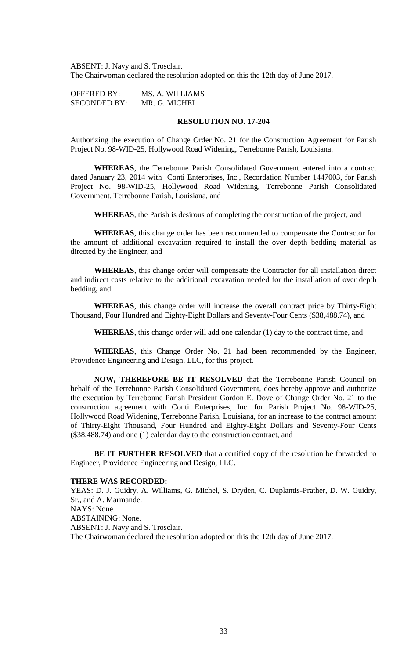ABSENT: J. Navy and S. Trosclair. The Chairwoman declared the resolution adopted on this the 12th day of June 2017.

OFFERED BY: MS. A. WILLIAMS SECONDED BY: MR. G. MICHEL

# **RESOLUTION NO. 17-204**

Authorizing the execution of Change Order No. 21 for the Construction Agreement for Parish Project No. 98-WID-25, Hollywood Road Widening, Terrebonne Parish, Louisiana.

**WHEREAS**, the Terrebonne Parish Consolidated Government entered into a contract dated January 23, 2014 with Conti Enterprises, Inc., Recordation Number 1447003, for Parish Project No. 98-WID-25, Hollywood Road Widening, Terrebonne Parish Consolidated Government, Terrebonne Parish, Louisiana, and

**WHEREAS**, the Parish is desirous of completing the construction of the project, and

**WHEREAS**, this change order has been recommended to compensate the Contractor for the amount of additional excavation required to install the over depth bedding material as directed by the Engineer, and

**WHEREAS**, this change order will compensate the Contractor for all installation direct and indirect costs relative to the additional excavation needed for the installation of over depth bedding, and

**WHEREAS**, this change order will increase the overall contract price by Thirty-Eight Thousand, Four Hundred and Eighty-Eight Dollars and Seventy-Four Cents (\$38,488.74), and

**WHEREAS**, this change order will add one calendar (1) day to the contract time, and

**WHEREAS**, this Change Order No. 21 had been recommended by the Engineer, Providence Engineering and Design, LLC, for this project.

**NOW, THEREFORE BE IT RESOLVED** that the Terrebonne Parish Council on behalf of the Terrebonne Parish Consolidated Government, does hereby approve and authorize the execution by Terrebonne Parish President Gordon E. Dove of Change Order No. 21 to the construction agreement with Conti Enterprises, Inc. for Parish Project No. 98-WID-25, Hollywood Road Widening, Terrebonne Parish, Louisiana, for an increase to the contract amount of Thirty-Eight Thousand, Four Hundred and Eighty-Eight Dollars and Seventy-Four Cents (\$38,488.74) and one (1) calendar day to the construction contract, and

**BE IT FURTHER RESOLVED** that a certified copy of the resolution be forwarded to Engineer, Providence Engineering and Design, LLC.

#### **THERE WAS RECORDED:**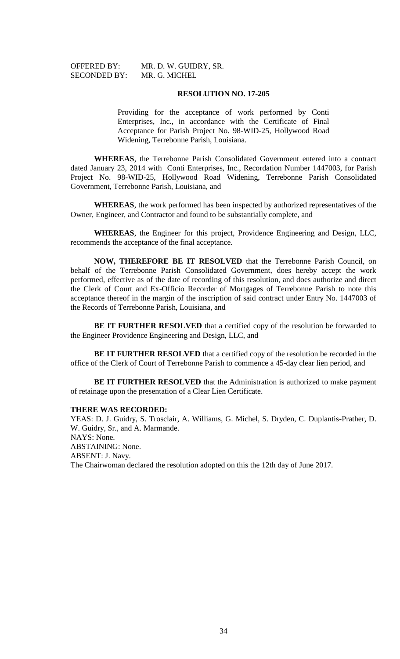OFFERED BY: MR. D. W. GUIDRY, SR.

#### **RESOLUTION NO. 17-205**

Providing for the acceptance of work performed by Conti Enterprises, Inc., in accordance with the Certificate of Final Acceptance for Parish Project No. 98-WID-25, Hollywood Road Widening, Terrebonne Parish, Louisiana.

**WHEREAS**, the Terrebonne Parish Consolidated Government entered into a contract dated January 23, 2014 with Conti Enterprises, Inc., Recordation Number 1447003, for Parish Project No. 98-WID-25, Hollywood Road Widening, Terrebonne Parish Consolidated Government, Terrebonne Parish, Louisiana, and

**WHEREAS**, the work performed has been inspected by authorized representatives of the Owner, Engineer, and Contractor and found to be substantially complete, and

**WHEREAS**, the Engineer for this project, Providence Engineering and Design, LLC, recommends the acceptance of the final acceptance.

**NOW, THEREFORE BE IT RESOLVED** that the Terrebonne Parish Council, on behalf of the Terrebonne Parish Consolidated Government, does hereby accept the work performed, effective as of the date of recording of this resolution, and does authorize and direct the Clerk of Court and Ex-Officio Recorder of Mortgages of Terrebonne Parish to note this acceptance thereof in the margin of the inscription of said contract under Entry No. 1447003 of the Records of Terrebonne Parish, Louisiana, and

**BE IT FURTHER RESOLVED** that a certified copy of the resolution be forwarded to the Engineer Providence Engineering and Design, LLC, and

**BE IT FURTHER RESOLVED** that a certified copy of the resolution be recorded in the office of the Clerk of Court of Terrebonne Parish to commence a 45-day clear lien period, and

**BE IT FURTHER RESOLVED** that the Administration is authorized to make payment of retainage upon the presentation of a Clear Lien Certificate.

# **THERE WAS RECORDED:**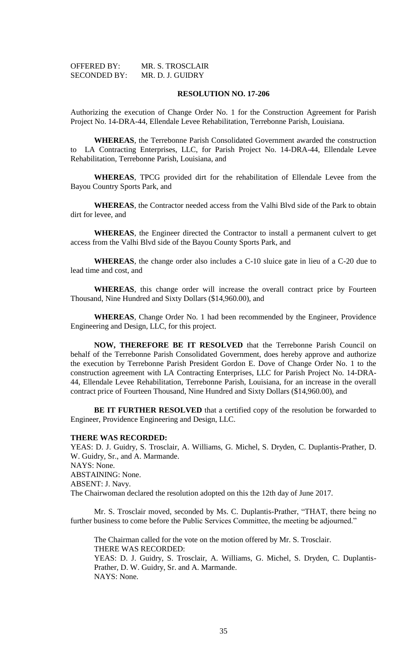| <b>OFFERED BY:</b>  | MR. S. TROSCLAIR |
|---------------------|------------------|
| <b>SECONDED BY:</b> | MR. D. J. GUIDRY |

#### **RESOLUTION NO. 17-206**

Authorizing the execution of Change Order No. 1 for the Construction Agreement for Parish Project No. 14-DRA-44, Ellendale Levee Rehabilitation, Terrebonne Parish, Louisiana.

**WHEREAS**, the Terrebonne Parish Consolidated Government awarded the construction to LA Contracting Enterprises, LLC, for Parish Project No. 14-DRA-44, Ellendale Levee Rehabilitation, Terrebonne Parish, Louisiana, and

**WHEREAS**, TPCG provided dirt for the rehabilitation of Ellendale Levee from the Bayou Country Sports Park, and

**WHEREAS**, the Contractor needed access from the Valhi Blvd side of the Park to obtain dirt for levee, and

**WHEREAS**, the Engineer directed the Contractor to install a permanent culvert to get access from the Valhi Blvd side of the Bayou County Sports Park, and

**WHEREAS**, the change order also includes a C-10 sluice gate in lieu of a C-20 due to lead time and cost, and

**WHEREAS**, this change order will increase the overall contract price by Fourteen Thousand, Nine Hundred and Sixty Dollars (\$14,960.00), and

**WHEREAS**, Change Order No. 1 had been recommended by the Engineer, Providence Engineering and Design, LLC, for this project.

**NOW, THEREFORE BE IT RESOLVED** that the Terrebonne Parish Council on behalf of the Terrebonne Parish Consolidated Government, does hereby approve and authorize the execution by Terrebonne Parish President Gordon E. Dove of Change Order No. 1 to the construction agreement with LA Contracting Enterprises, LLC for Parish Project No. 14-DRA-44, Ellendale Levee Rehabilitation, Terrebonne Parish, Louisiana, for an increase in the overall contract price of Fourteen Thousand, Nine Hundred and Sixty Dollars (\$14,960.00), and

**BE IT FURTHER RESOLVED** that a certified copy of the resolution be forwarded to Engineer, Providence Engineering and Design, LLC.

#### **THERE WAS RECORDED:**

YEAS: D. J. Guidry, S. Trosclair, A. Williams, G. Michel, S. Dryden, C. Duplantis-Prather, D. W. Guidry, Sr., and A. Marmande. NAYS: None. ABSTAINING: None. ABSENT: J. Navy. The Chairwoman declared the resolution adopted on this the 12th day of June 2017.

Mr. S. Trosclair moved, seconded by Ms. C. Duplantis-Prather, "THAT, there being no further business to come before the Public Services Committee, the meeting be adjourned."

The Chairman called for the vote on the motion offered by Mr. S. Trosclair. THERE WAS RECORDED:

YEAS: D. J. Guidry, S. Trosclair, A. Williams, G. Michel, S. Dryden, C. Duplantis-Prather, D. W. Guidry, Sr. and A. Marmande. NAYS: None.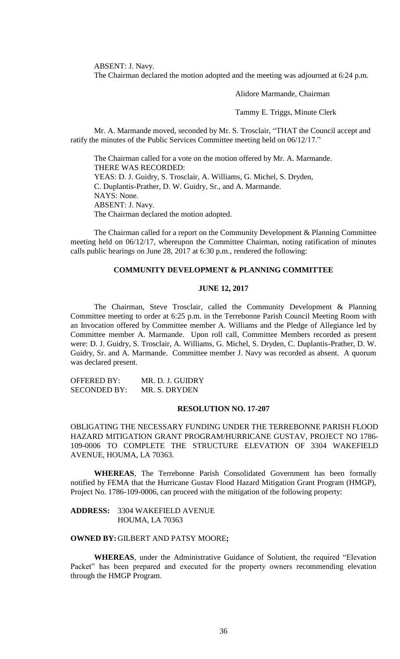ABSENT: J. Navy.

The Chairman declared the motion adopted and the meeting was adjourned at 6:24 p.m.

Alidore Marmande, Chairman

Tammy E. Triggs, Minute Clerk

Mr. A. Marmande moved, seconded by Mr. S. Trosclair, "THAT the Council accept and ratify the minutes of the Public Services Committee meeting held on 06/12/17."

The Chairman called for a vote on the motion offered by Mr. A. Marmande. THERE WAS RECORDED: YEAS: D. J. Guidry, S. Trosclair, A. Williams, G. Michel, S. Dryden, C. Duplantis-Prather, D. W. Guidry, Sr., and A. Marmande. NAYS: None. ABSENT: J. Navy. The Chairman declared the motion adopted.

The Chairman called for a report on the Community Development & Planning Committee meeting held on 06/12/17, whereupon the Committee Chairman, noting ratification of minutes calls public hearings on June 28, 2017 at 6:30 p.m., rendered the following:

# **COMMUNITY DEVELOPMENT & PLANNING COMMITTEE**

#### **JUNE 12, 2017**

The Chairman, Steve Trosclair, called the Community Development & Planning Committee meeting to order at 6:25 p.m. in the Terrebonne Parish Council Meeting Room with an Invocation offered by Committee member A. Williams and the Pledge of Allegiance led by Committee member A. Marmande. Upon roll call, Committee Members recorded as present were: D. J. Guidry, S. Trosclair, A. Williams, G. Michel, S. Dryden, C. Duplantis-Prather, D. W. Guidry, Sr. and A. Marmande. Committee member J. Navy was recorded as absent. A quorum was declared present.

OFFERED BY: MR. D. J. GUIDRY SECONDED BY: MR. S. DRYDEN

## **RESOLUTION NO. 17-207**

OBLIGATING THE NECESSARY FUNDING UNDER THE TERREBONNE PARISH FLOOD HAZARD MITIGATION GRANT PROGRAM/HURRICANE GUSTAV, PROJECT NO 1786- 109-0006 TO COMPLETE THE STRUCTURE ELEVATION OF 3304 WAKEFIELD AVENUE, HOUMA, LA 70363.

**WHEREAS**, The Terrebonne Parish Consolidated Government has been formally notified by FEMA that the Hurricane Gustav Flood Hazard Mitigation Grant Program (HMGP), Project No. 1786-109-0006, can proceed with the mitigation of the following property:

**ADDRESS:** 3304 WAKEFIELD AVENUE HOUMA, LA 70363

# **OWNED BY:**GILBERT AND PATSY MOORE**;**

**WHEREAS**, under the Administrative Guidance of Solutient, the required "Elevation Packet" has been prepared and executed for the property owners recommending elevation through the HMGP Program.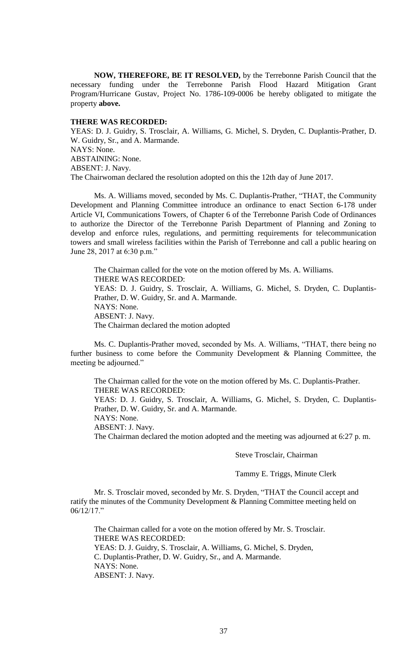**NOW, THEREFORE, BE IT RESOLVED,** by the Terrebonne Parish Council that the necessary funding under the Terrebonne Parish Flood Hazard Mitigation Grant Program/Hurricane Gustav, Project No. 1786-109-0006 be hereby obligated to mitigate the property **above.**

## **THERE WAS RECORDED:**

YEAS: D. J. Guidry, S. Trosclair, A. Williams, G. Michel, S. Dryden, C. Duplantis-Prather, D. W. Guidry, Sr., and A. Marmande. NAYS: None. ABSTAINING: None. ABSENT: J. Navy. The Chairwoman declared the resolution adopted on this the 12th day of June 2017.

Ms. A. Williams moved, seconded by Ms. C. Duplantis-Prather, "THAT, the Community Development and Planning Committee introduce an ordinance to enact Section 6-178 under Article VI, Communications Towers, of Chapter 6 of the Terrebonne Parish Code of Ordinances to authorize the Director of the Terrebonne Parish Department of Planning and Zoning to develop and enforce rules, regulations, and permitting requirements for telecommunication towers and small wireless facilities within the Parish of Terrebonne and call a public hearing on June 28, 2017 at 6:30 p.m."

The Chairman called for the vote on the motion offered by Ms. A. Williams. THERE WAS RECORDED: YEAS: D. J. Guidry, S. Trosclair, A. Williams, G. Michel, S. Dryden, C. Duplantis-Prather, D. W. Guidry, Sr. and A. Marmande. NAYS: None. ABSENT: J. Navy. The Chairman declared the motion adopted

Ms. C. Duplantis-Prather moved, seconded by Ms. A. Williams, "THAT, there being no further business to come before the Community Development & Planning Committee, the meeting be adjourned."

The Chairman called for the vote on the motion offered by Ms. C. Duplantis-Prather. THERE WAS RECORDED: YEAS: D. J. Guidry, S. Trosclair, A. Williams, G. Michel, S. Dryden, C. Duplantis-

Prather, D. W. Guidry, Sr. and A. Marmande.

NAYS: None.

ABSENT: J. Navy.

The Chairman declared the motion adopted and the meeting was adjourned at 6:27 p. m.

# Steve Trosclair, Chairman

Tammy E. Triggs, Minute Clerk

Mr. S. Trosclair moved, seconded by Mr. S. Dryden, "THAT the Council accept and ratify the minutes of the Community Development & Planning Committee meeting held on 06/12/17."

The Chairman called for a vote on the motion offered by Mr. S. Trosclair. THERE WAS RECORDED: YEAS: D. J. Guidry, S. Trosclair, A. Williams, G. Michel, S. Dryden, C. Duplantis-Prather, D. W. Guidry, Sr., and A. Marmande. NAYS: None. ABSENT: J. Navy.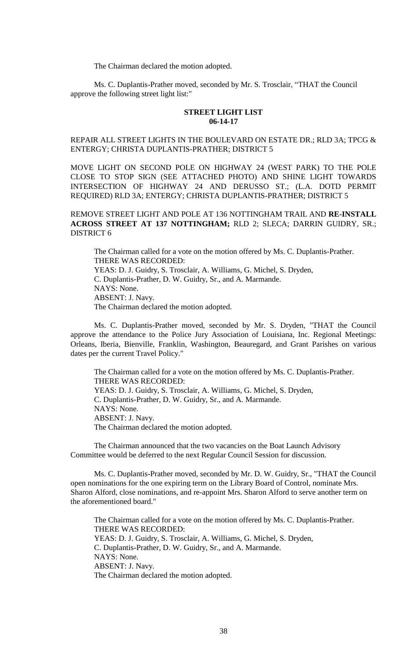The Chairman declared the motion adopted.

Ms. C. Duplantis-Prather moved, seconded by Mr. S. Trosclair, "THAT the Council approve the following street light list:"

### **STREET LIGHT LIST 06-14-17**

# REPAIR ALL STREET LIGHTS IN THE BOULEVARD ON ESTATE DR.; RLD 3A; TPCG & ENTERGY; CHRISTA DUPLANTIS-PRATHER; DISTRICT 5

MOVE LIGHT ON SECOND POLE ON HIGHWAY 24 (WEST PARK) TO THE POLE CLOSE TO STOP SIGN (SEE ATTACHED PHOTO) AND SHINE LIGHT TOWARDS INTERSECTION OF HIGHWAY 24 AND DERUSSO ST.; (L.A. DOTD PERMIT REQUIRED) RLD 3A; ENTERGY; CHRISTA DUPLANTIS-PRATHER; DISTRICT 5

REMOVE STREET LIGHT AND POLE AT 136 NOTTINGHAM TRAIL AND **RE-INSTALL ACROSS STREET AT 137 NOTTINGHAM;** RLD 2; SLECA; DARRIN GUIDRY, SR.; DISTRICT 6

The Chairman called for a vote on the motion offered by Ms. C. Duplantis-Prather. THERE WAS RECORDED: YEAS: D. J. Guidry, S. Trosclair, A. Williams, G. Michel, S. Dryden, C. Duplantis-Prather, D. W. Guidry, Sr., and A. Marmande. NAYS: None. ABSENT: J. Navy. The Chairman declared the motion adopted.

Ms. C. Duplantis-Prather moved, seconded by Mr. S. Dryden, "THAT the Council approve the attendance to the Police Jury Association of Louisiana, Inc. Regional Meetings: Orleans, Iberia, Bienville, Franklin, Washington, Beauregard, and Grant Parishes on various dates per the current Travel Policy."

The Chairman called for a vote on the motion offered by Ms. C. Duplantis-Prather. THERE WAS RECORDED: YEAS: D. J. Guidry, S. Trosclair, A. Williams, G. Michel, S. Dryden, C. Duplantis-Prather, D. W. Guidry, Sr., and A. Marmande. NAYS: None. ABSENT: J. Navy. The Chairman declared the motion adopted.

The Chairman announced that the two vacancies on the Boat Launch Advisory Committee would be deferred to the next Regular Council Session for discussion.

Ms. C. Duplantis-Prather moved, seconded by Mr. D. W. Guidry, Sr., "THAT the Council open nominations for the one expiring term on the Library Board of Control, nominate Mrs. Sharon Alford, close nominations, and re-appoint Mrs. Sharon Alford to serve another term on the aforementioned board."

The Chairman called for a vote on the motion offered by Ms. C. Duplantis-Prather. THERE WAS RECORDED: YEAS: D. J. Guidry, S. Trosclair, A. Williams, G. Michel, S. Dryden, C. Duplantis-Prather, D. W. Guidry, Sr., and A. Marmande. NAYS: None. ABSENT: J. Navy. The Chairman declared the motion adopted.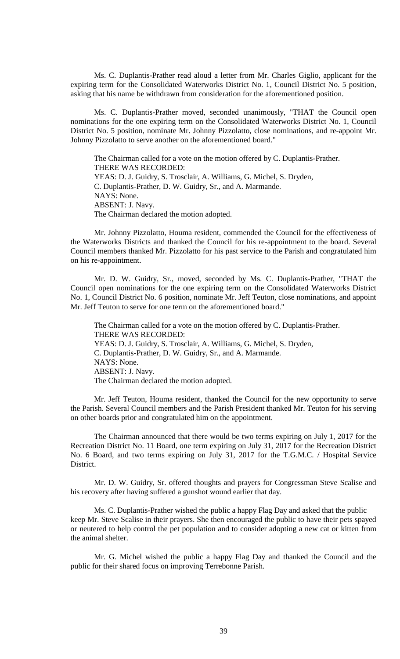Ms. C. Duplantis-Prather read aloud a letter from Mr. Charles Giglio, applicant for the expiring term for the Consolidated Waterworks District No. 1, Council District No. 5 position, asking that his name be withdrawn from consideration for the aforementioned position.

Ms. C. Duplantis-Prather moved, seconded unanimously, "THAT the Council open nominations for the one expiring term on the Consolidated Waterworks District No. 1, Council District No. 5 position, nominate Mr. Johnny Pizzolatto, close nominations, and re-appoint Mr. Johnny Pizzolatto to serve another on the aforementioned board."

The Chairman called for a vote on the motion offered by C. Duplantis-Prather. THERE WAS RECORDED: YEAS: D. J. Guidry, S. Trosclair, A. Williams, G. Michel, S. Dryden, C. Duplantis-Prather, D. W. Guidry, Sr., and A. Marmande. NAYS: None. ABSENT: J. Navy. The Chairman declared the motion adopted.

Mr. Johnny Pizzolatto, Houma resident, commended the Council for the effectiveness of the Waterworks Districts and thanked the Council for his re-appointment to the board. Several Council members thanked Mr. Pizzolatto for his past service to the Parish and congratulated him on his re-appointment.

Mr. D. W. Guidry, Sr., moved, seconded by Ms. C. Duplantis-Prather, "THAT the Council open nominations for the one expiring term on the Consolidated Waterworks District No. 1, Council District No. 6 position, nominate Mr. Jeff Teuton, close nominations, and appoint Mr. Jeff Teuton to serve for one term on the aforementioned board."

The Chairman called for a vote on the motion offered by C. Duplantis-Prather. THERE WAS RECORDED: YEAS: D. J. Guidry, S. Trosclair, A. Williams, G. Michel, S. Dryden, C. Duplantis-Prather, D. W. Guidry, Sr., and A. Marmande. NAYS: None. ABSENT: J. Navy. The Chairman declared the motion adopted.

Mr. Jeff Teuton, Houma resident, thanked the Council for the new opportunity to serve the Parish. Several Council members and the Parish President thanked Mr. Teuton for his serving on other boards prior and congratulated him on the appointment.

The Chairman announced that there would be two terms expiring on July 1, 2017 for the Recreation District No. 11 Board, one term expiring on July 31, 2017 for the Recreation District No. 6 Board, and two terms expiring on July 31, 2017 for the T.G.M.C. / Hospital Service District.

Mr. D. W. Guidry, Sr. offered thoughts and prayers for Congressman Steve Scalise and his recovery after having suffered a gunshot wound earlier that day.

Ms. C. Duplantis-Prather wished the public a happy Flag Day and asked that the public keep Mr. Steve Scalise in their prayers. She then encouraged the public to have their pets spayed or neutered to help control the pet population and to consider adopting a new cat or kitten from the animal shelter.

Mr. G. Michel wished the public a happy Flag Day and thanked the Council and the public for their shared focus on improving Terrebonne Parish.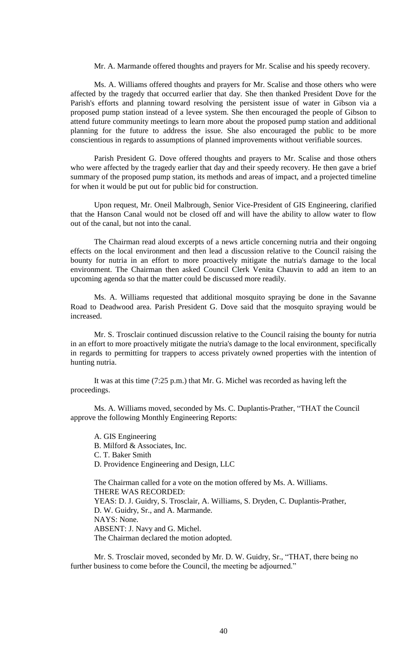Mr. A. Marmande offered thoughts and prayers for Mr. Scalise and his speedy recovery.

Ms. A. Williams offered thoughts and prayers for Mr. Scalise and those others who were affected by the tragedy that occurred earlier that day. She then thanked President Dove for the Parish's efforts and planning toward resolving the persistent issue of water in Gibson via a proposed pump station instead of a levee system. She then encouraged the people of Gibson to attend future community meetings to learn more about the proposed pump station and additional planning for the future to address the issue. She also encouraged the public to be more conscientious in regards to assumptions of planned improvements without verifiable sources.

Parish President G. Dove offered thoughts and prayers to Mr. Scalise and those others who were affected by the tragedy earlier that day and their speedy recovery. He then gave a brief summary of the proposed pump station, its methods and areas of impact, and a projected timeline for when it would be put out for public bid for construction.

Upon request, Mr. Oneil Malbrough, Senior Vice-President of GIS Engineering, clarified that the Hanson Canal would not be closed off and will have the ability to allow water to flow out of the canal, but not into the canal.

The Chairman read aloud excerpts of a news article concerning nutria and their ongoing effects on the local environment and then lead a discussion relative to the Council raising the bounty for nutria in an effort to more proactively mitigate the nutria's damage to the local environment. The Chairman then asked Council Clerk Venita Chauvin to add an item to an upcoming agenda so that the matter could be discussed more readily.

Ms. A. Williams requested that additional mosquito spraying be done in the Savanne Road to Deadwood area. Parish President G. Dove said that the mosquito spraying would be increased.

Mr. S. Trosclair continued discussion relative to the Council raising the bounty for nutria in an effort to more proactively mitigate the nutria's damage to the local environment, specifically in regards to permitting for trappers to access privately owned properties with the intention of hunting nutria.

It was at this time (7:25 p.m.) that Mr. G. Michel was recorded as having left the proceedings.

Ms. A. Williams moved, seconded by Ms. C. Duplantis-Prather, "THAT the Council approve the following Monthly Engineering Reports:

A. GIS Engineering B. Milford & Associates, Inc. C. T. Baker Smith D. Providence Engineering and Design, LLC

The Chairman called for a vote on the motion offered by Ms. A. Williams. THERE WAS RECORDED: YEAS: D. J. Guidry, S. Trosclair, A. Williams, S. Dryden, C. Duplantis-Prather, D. W. Guidry, Sr., and A. Marmande. NAYS: None. ABSENT: J. Navy and G. Michel. The Chairman declared the motion adopted.

Mr. S. Trosclair moved, seconded by Mr. D. W. Guidry, Sr., "THAT, there being no further business to come before the Council, the meeting be adjourned."